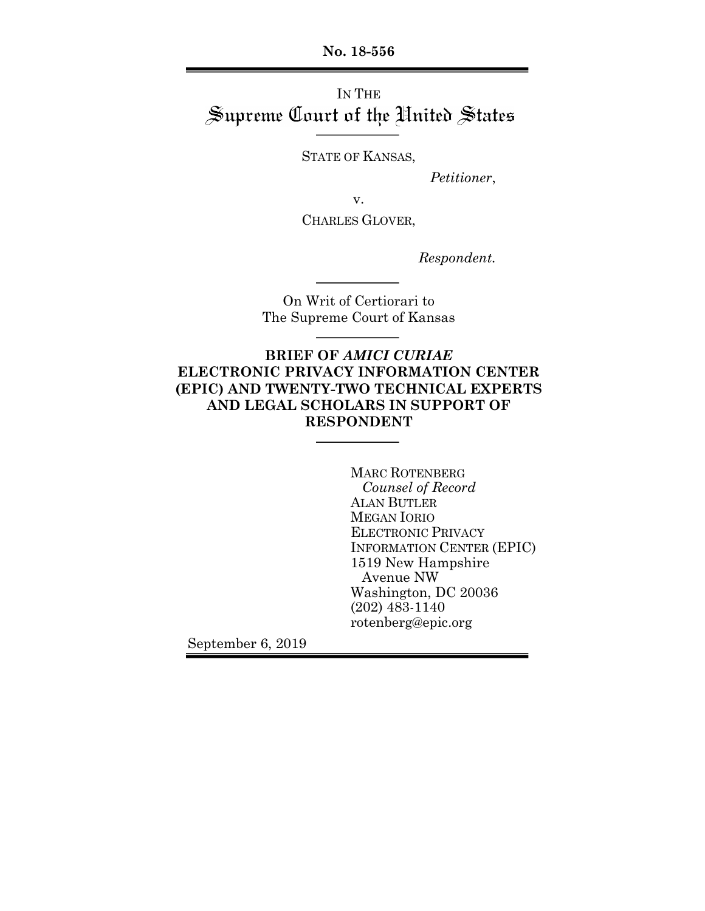**No. 18-556**

# IN THE Supreme Court of the United States

STATE OF KANSAS,

*Petitioner*,

v.

CHARLES GLOVER,

*Respondent.*

On Writ of Certiorari to The Supreme Court of Kansas

## **BRIEF OF** *AMICI CURIAE* **ELECTRONIC PRIVACY INFORMATION CENTER (EPIC) AND TWENTY-TWO TECHNICAL EXPERTS AND LEGAL SCHOLARS IN SUPPORT OF RESPONDENT**

MARC ROTENBERG *Counsel of Record* ALAN BUTLER MEGAN IORIO ELECTRONIC PRIVACY INFORMATION CENTER (EPIC) 1519 New Hampshire Avenue NW Washington, DC 20036 (202) 483-1140 rotenberg@epic.org

September 6, 2019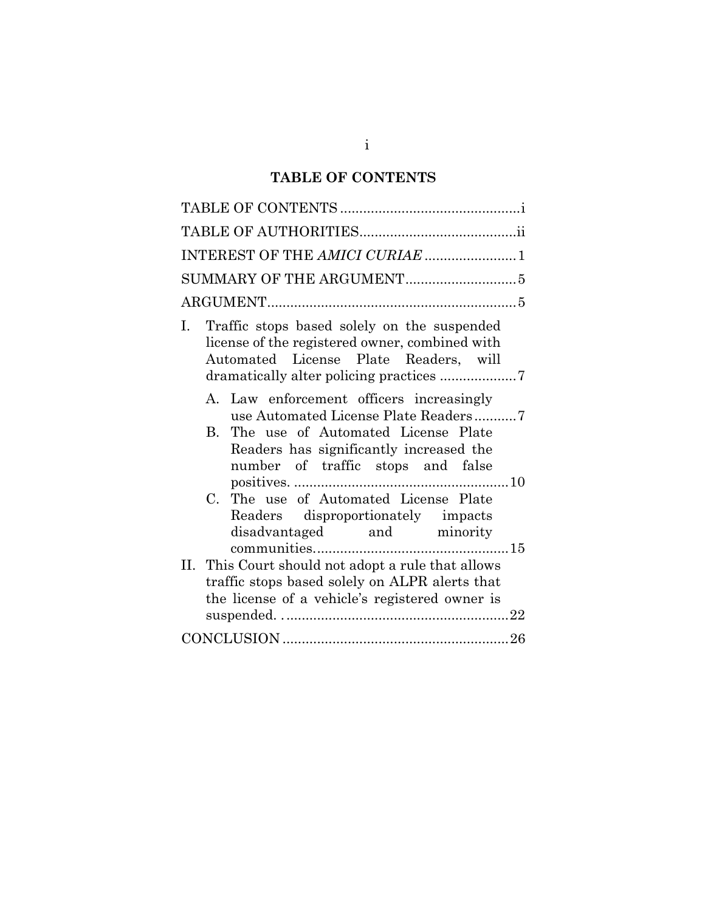# **TABLE OF CONTENTS**

| INTEREST OF THE AMICI CURIAE 1                                                                                                                                          |
|-------------------------------------------------------------------------------------------------------------------------------------------------------------------------|
|                                                                                                                                                                         |
|                                                                                                                                                                         |
| Traffic stops based solely on the suspended<br>Ι.<br>license of the registered owner, combined with<br>Automated License Plate Readers, will                            |
| A. Law enforcement officers increasingly<br>use Automated License Plate Readers7<br>The use of Automated License Plate<br>B.<br>Readers has significantly increased the |
| number of traffic stops and false<br>C. The use of Automated License Plate<br>Readers disproportionately impacts<br>disadvantaged and minority                          |
| This Court should not adopt a rule that allows<br>II.<br>traffic stops based solely on ALPR alerts that<br>the license of a vehicle's registered owner is               |
|                                                                                                                                                                         |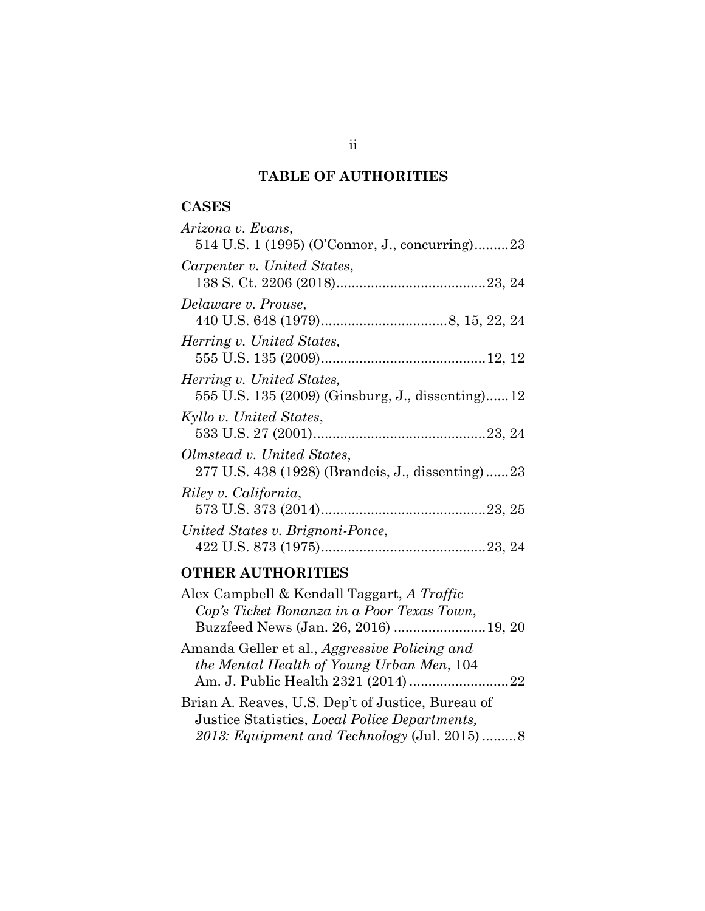# **TABLE OF AUTHORITIES**

## **CASES**

| Arizona v. Evans,                                |
|--------------------------------------------------|
| 514 U.S. 1 (1995) (O'Connor, J., concurring)23   |
| Carpenter v. United States,                      |
|                                                  |
| Delaware v. Prouse,                              |
|                                                  |
| Herring v. United States,                        |
|                                                  |
| Herring v. United States,                        |
| 555 U.S. 135 (2009) (Ginsburg, J., dissenting)12 |
| Kyllo v. United States,                          |
|                                                  |
| Olmstead v. United States,                       |
| 277 U.S. 438 (1928) (Brandeis, J., dissenting)23 |
| Riley v. California,                             |
|                                                  |
| United States v. Brignoni-Ponce,                 |
|                                                  |

## **OTHER AUTHORITIES**

| Alex Campbell & Kendall Taggart, A Traffic<br>Cop's Ticket Bonanza in a Poor Texas Town,                                                           |  |
|----------------------------------------------------------------------------------------------------------------------------------------------------|--|
| Buzzfeed News (Jan. 26, 2016)  19, 20                                                                                                              |  |
| Amanda Geller et al., Aggressive Policing and<br>the Mental Health of Young Urban Men, 104<br>Am. J. Public Health 2321 (2014) 22                  |  |
| Brian A. Reaves, U.S. Dep't of Justice, Bureau of<br>Justice Statistics, Local Police Departments,<br>2013: Equipment and Technology (Jul. 2015) 8 |  |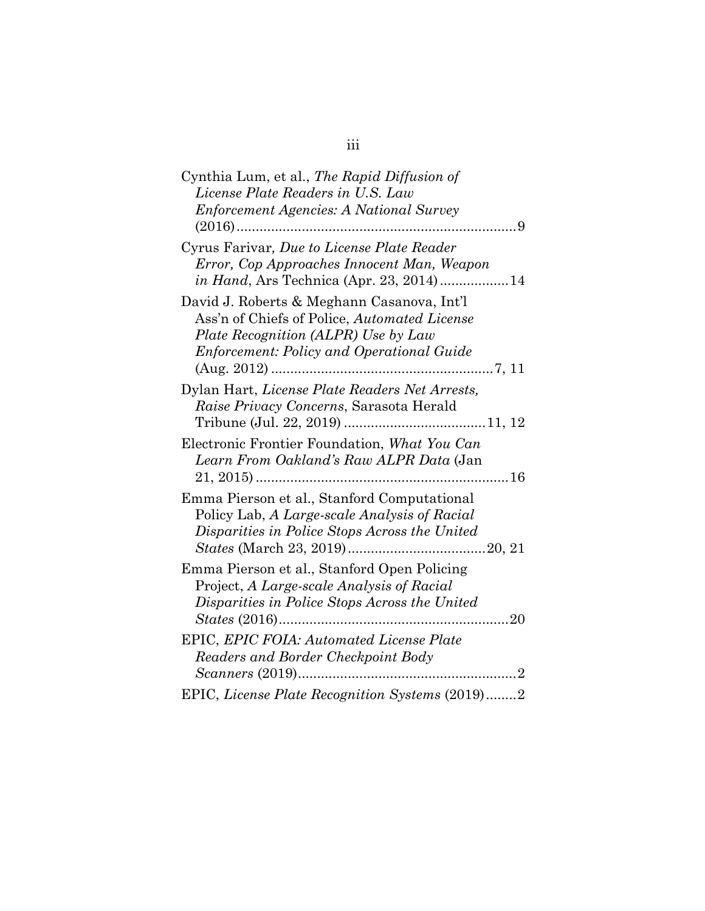| Cynthia Lum, et al., The Rapid Diffusion of<br>License Plate Readers in U.S. Law                                                                                                      |     |
|---------------------------------------------------------------------------------------------------------------------------------------------------------------------------------------|-----|
| <b>Enforcement Agencies: A National Survey</b>                                                                                                                                        |     |
| Cyrus Farivar, Due to License Plate Reader<br>Error, Cop Approaches Innocent Man, Weapon<br><i>in Hand</i> , Ars Technica (Apr. 23, 2014)14                                           |     |
| David J. Roberts & Meghann Casanova, Int'l<br>Ass'n of Chiefs of Police, Automated License<br>Plate Recognition (ALPR) Use by Law<br><b>Enforcement: Policy and Operational Guide</b> |     |
| Dylan Hart, License Plate Readers Net Arrests,<br>Raise Privacy Concerns, Sarasota Herald                                                                                             |     |
| Electronic Frontier Foundation, What You Can<br>Learn From Oakland's Raw ALPR Data (Jan                                                                                               |     |
| Emma Pierson et al., Stanford Computational<br>Policy Lab, A Large-scale Analysis of Racial<br>Disparities in Police Stops Across the United                                          |     |
| Emma Pierson et al., Stanford Open Policing<br>Project, A Large-scale Analysis of Racial<br>Disparities in Police Stops Across the United                                             |     |
| EPIC, EPIC FOIA: Automated License Plate<br>Readers and Border Checkpoint Body<br><i>Scanners</i> (2019)                                                                              | . 2 |
| EPIC, License Plate Recognition Systems (2019)2                                                                                                                                       |     |

# iii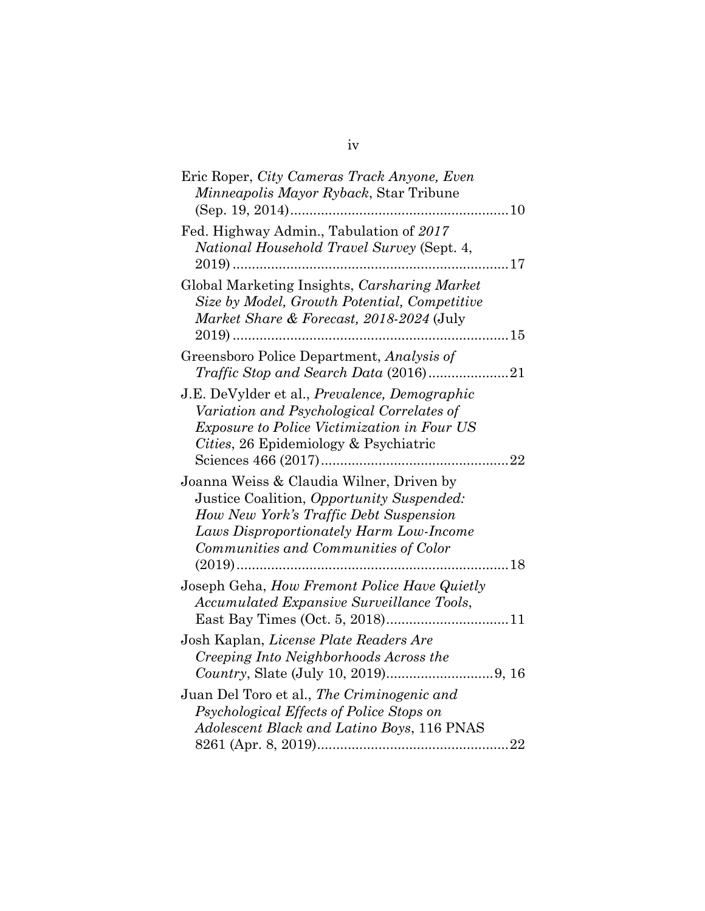| Eric Roper, City Cameras Track Anyone, Even<br>Minneapolis Mayor Ryback, Star Tribune                                                                                                                              |    |
|--------------------------------------------------------------------------------------------------------------------------------------------------------------------------------------------------------------------|----|
| Fed. Highway Admin., Tabulation of 2017<br>National Household Travel Survey (Sept. 4,                                                                                                                              |    |
| Global Marketing Insights, Carsharing Market<br>Size by Model, Growth Potential, Competitive<br>Market Share & Forecast, 2018-2024 (July                                                                           |    |
| Greensboro Police Department, Analysis of                                                                                                                                                                          |    |
| J.E. DeVylder et al., Prevalence, Demographic<br>Variation and Psychological Correlates of<br><i>Exposure to Police Victimization in Four US</i><br>Cities, 26 Epidemiology & Psychiatric                          |    |
| Joanna Weiss & Claudia Wilner, Driven by<br>Justice Coalition, Opportunity Suspended:<br>How New York's Traffic Debt Suspension<br>Laws Disproportionately Harm Low-Income<br>Communities and Communities of Color | 18 |
| Joseph Geha, How Fremont Police Have Quietly<br>Accumulated Expansive Surveillance Tools,                                                                                                                          |    |
| Josh Kaplan, License Plate Readers Are<br>Creeping Into Neighborhoods Across the                                                                                                                                   |    |
| Juan Del Toro et al., The Criminogenic and<br>Psychological Effects of Police Stops on<br>Adolescent Black and Latino Boys, 116 PNAS                                                                               |    |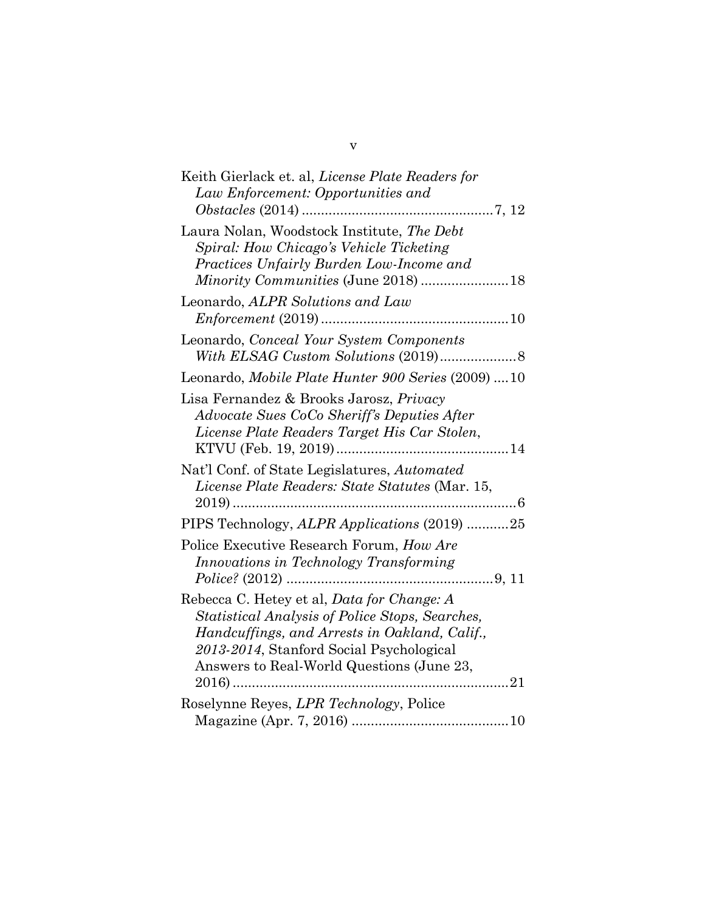| Keith Gierlack et. al, License Plate Readers for<br>Law Enforcement: Opportunities and                                                                                                                                                                   |
|----------------------------------------------------------------------------------------------------------------------------------------------------------------------------------------------------------------------------------------------------------|
| Laura Nolan, Woodstock Institute, The Debt                                                                                                                                                                                                               |
| Spiral: How Chicago's Vehicle Ticketing<br>Practices Unfairly Burden Low-Income and                                                                                                                                                                      |
| Leonardo, ALPR Solutions and Law                                                                                                                                                                                                                         |
| Leonardo, Conceal Your System Components                                                                                                                                                                                                                 |
| Leonardo, Mobile Plate Hunter 900 Series (2009) 10                                                                                                                                                                                                       |
| Lisa Fernandez & Brooks Jarosz, Privacy<br>Advocate Sues CoCo Sheriff's Deputies After<br>License Plate Readers Target His Car Stolen,                                                                                                                   |
| Nat'l Conf. of State Legislatures, Automated<br>License Plate Readers: State Statutes (Mar. 15,<br>$2019)$                                                                                                                                               |
| PIPS Technology, ALPR Applications (2019) 25                                                                                                                                                                                                             |
| Police Executive Research Forum, How Are<br>Innovations in Technology Transforming                                                                                                                                                                       |
| Rebecca C. Hetey et al, Data for Change: A<br>Statistical Analysis of Police Stops, Searches,<br>Handcuffings, and Arrests in Oakland, Calif.,<br>2013-2014, Stanford Social Psychological<br>Answers to Real-World Questions (June 23,<br>21<br>$2016)$ |
| Roselynne Reyes, LPR Technology, Police                                                                                                                                                                                                                  |

v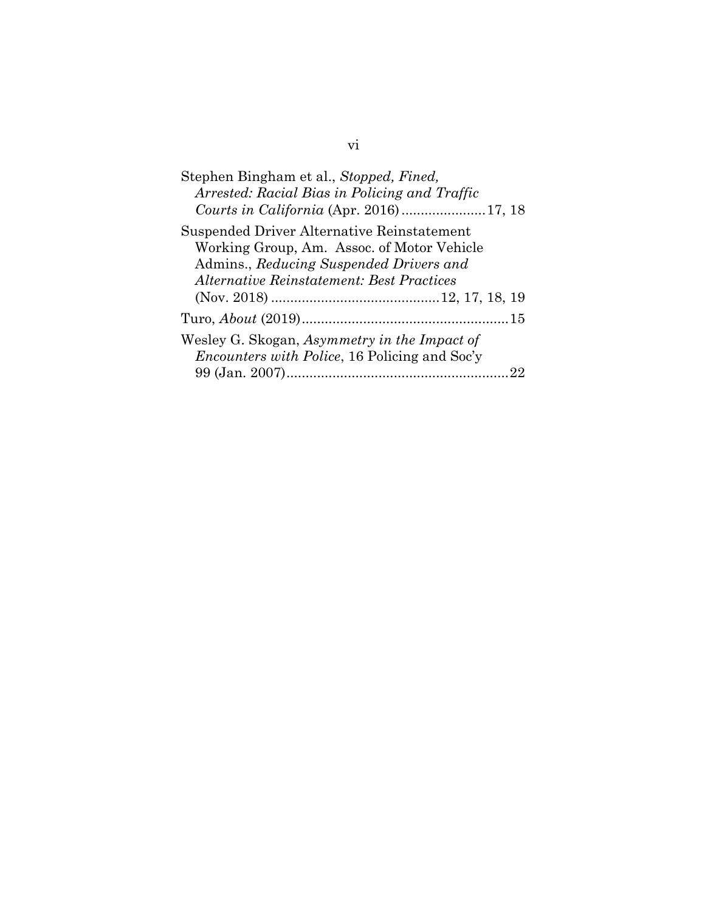# vi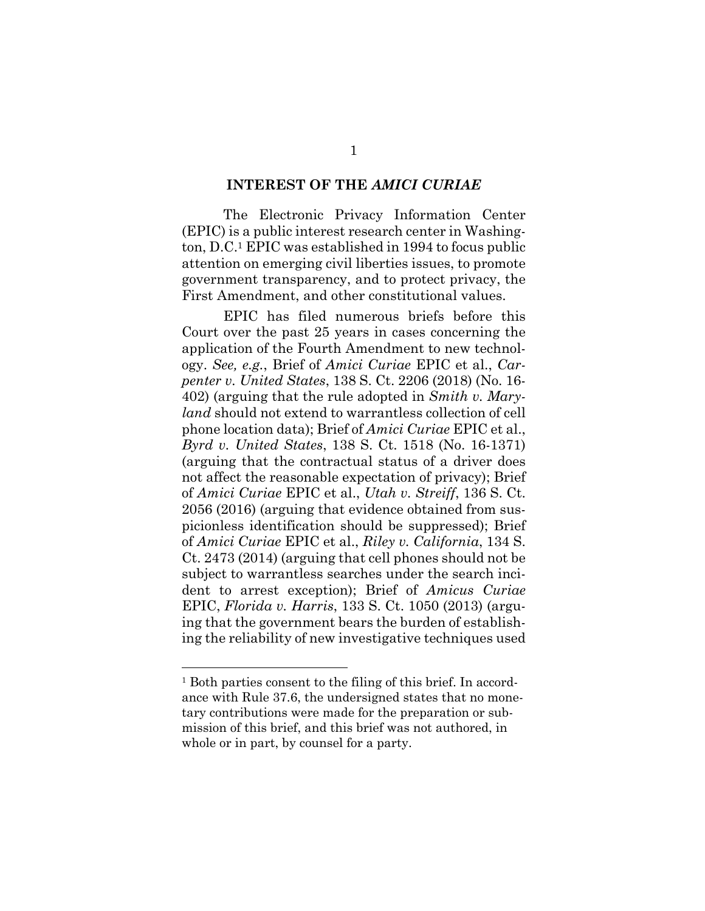#### **INTEREST OF THE** *AMICI CURIAE*

The Electronic Privacy Information Center (EPIC) is a public interest research center in Washington, D.C.1 EPIC was established in 1994 to focus public attention on emerging civil liberties issues, to promote government transparency, and to protect privacy, the First Amendment, and other constitutional values.

EPIC has filed numerous briefs before this Court over the past 25 years in cases concerning the application of the Fourth Amendment to new technology. *See, e.g.*, Brief of *Amici Curiae* EPIC et al., *Carpenter v. United States*, 138 S. Ct. 2206 (2018) (No. 16- 402) (arguing that the rule adopted in *Smith v. Maryland* should not extend to warrantless collection of cell phone location data); Brief of *Amici Curiae* EPIC et al., *Byrd v. United States*, 138 S. Ct. 1518 (No. 16-1371) (arguing that the contractual status of a driver does not affect the reasonable expectation of privacy); Brief of *Amici Curiae* EPIC et al., *Utah v. Streiff*, 136 S. Ct. 2056 (2016) (arguing that evidence obtained from suspicionless identification should be suppressed); Brief of *Amici Curiae* EPIC et al., *Riley v. California*, 134 S. Ct. 2473 (2014) (arguing that cell phones should not be subject to warrantless searches under the search incident to arrest exception); Brief of *Amicus Curiae*  EPIC, *Florida v. Harris*, 133 S. Ct. 1050 (2013) (arguing that the government bears the burden of establishing the reliability of new investigative techniques used

<sup>1</sup> Both parties consent to the filing of this brief. In accordance with Rule 37.6, the undersigned states that no monetary contributions were made for the preparation or submission of this brief, and this brief was not authored, in whole or in part, by counsel for a party.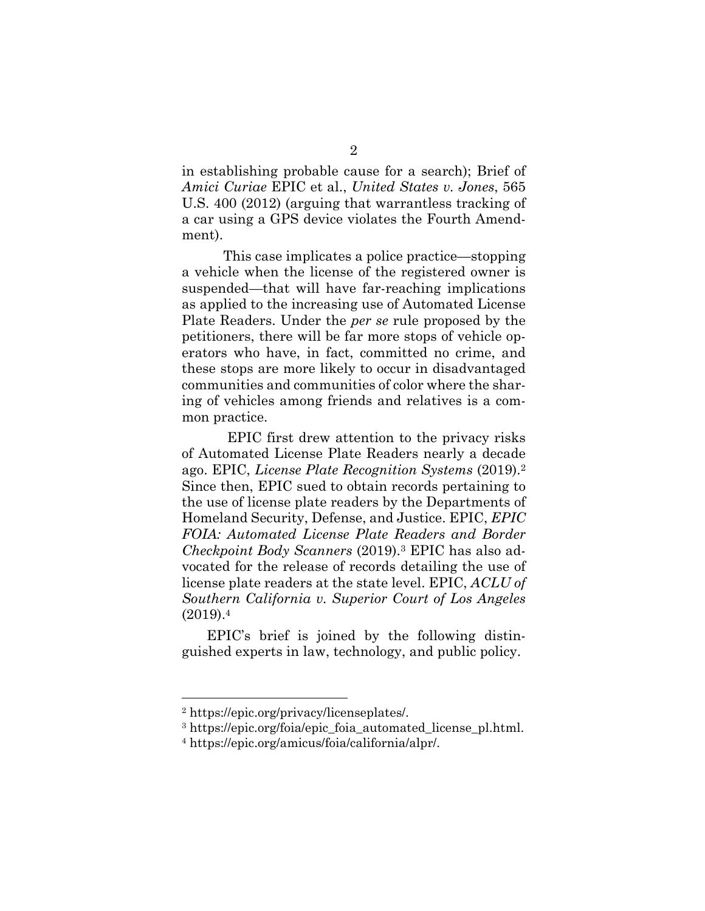in establishing probable cause for a search); Brief of *Amici Curiae* EPIC et al., *United States v. Jones*, 565 U.S. 400 (2012) (arguing that warrantless tracking of a car using a GPS device violates the Fourth Amendment).

This case implicates a police practice—stopping a vehicle when the license of the registered owner is suspended—that will have far-reaching implications as applied to the increasing use of Automated License Plate Readers. Under the *per se* rule proposed by the petitioners, there will be far more stops of vehicle operators who have, in fact, committed no crime, and these stops are more likely to occur in disadvantaged communities and communities of color where the sharing of vehicles among friends and relatives is a common practice.

EPIC first drew attention to the privacy risks of Automated License Plate Readers nearly a decade ago. EPIC, *License Plate Recognition Systems* (2019).<sup>2</sup> Since then, EPIC sued to obtain records pertaining to the use of license plate readers by the Departments of Homeland Security, Defense, and Justice. EPIC, *EPIC FOIA: Automated License Plate Readers and Border Checkpoint Body Scanners* (2019).<sup>3</sup> EPIC has also advocated for the release of records detailing the use of license plate readers at the state level. EPIC, *ACLU of Southern California v. Superior Court of Los Angeles* (2019).<sup>4</sup>

EPIC's brief is joined by the following distinguished experts in law, technology, and public policy.

<sup>2</sup> https://epic.org/privacy/licenseplates/.

<sup>3</sup> https://epic.org/foia/epic\_foia\_automated\_license\_pl.html.

<sup>4</sup> https://epic.org/amicus/foia/california/alpr/.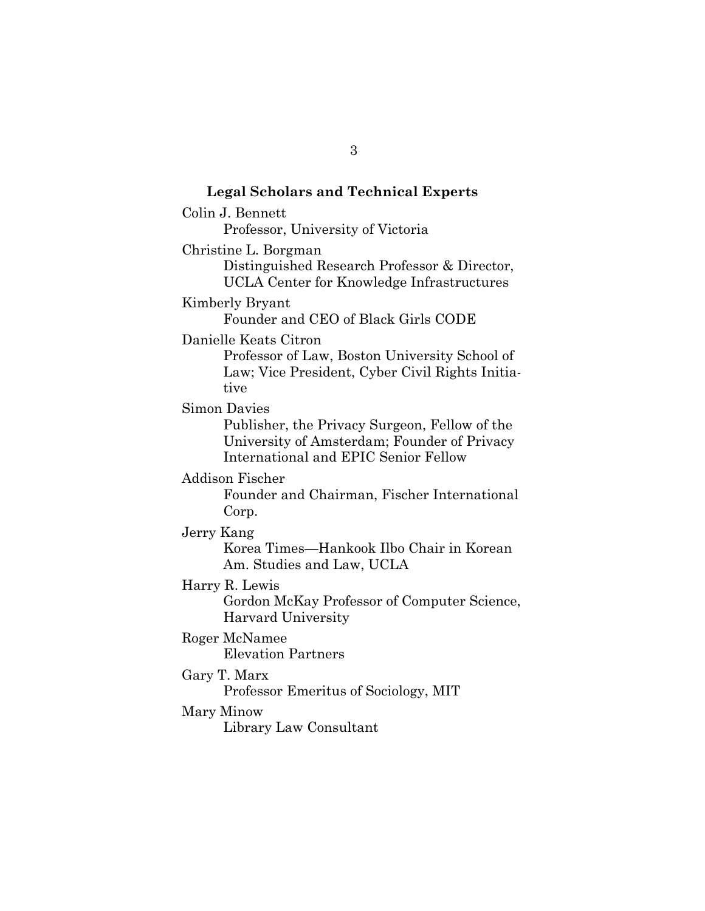# **Legal Scholars and Technical Experts** Colin J. Bennett Professor, University of Victoria Christine L. Borgman Distinguished Research Professor & Director, UCLA Center for Knowledge Infrastructures Kimberly Bryant Founder and CEO of Black Girls CODE Danielle Keats Citron Professor of Law, Boston University School of Law; Vice President, Cyber Civil Rights Initiative Simon Davies Publisher, the Privacy Surgeon, Fellow of the University of Amsterdam; Founder of Privacy International and EPIC Senior Fellow Addison Fischer Founder and Chairman, Fischer International Corp. Jerry Kang Korea Times—Hankook Ilbo Chair in Korean Am. Studies and Law, UCLA Harry R. Lewis Gordon McKay Professor of Computer Science, Harvard University Roger McNamee Elevation Partners Gary T. Marx Professor Emeritus of Sociology, MIT Mary Minow Library Law Consultant

3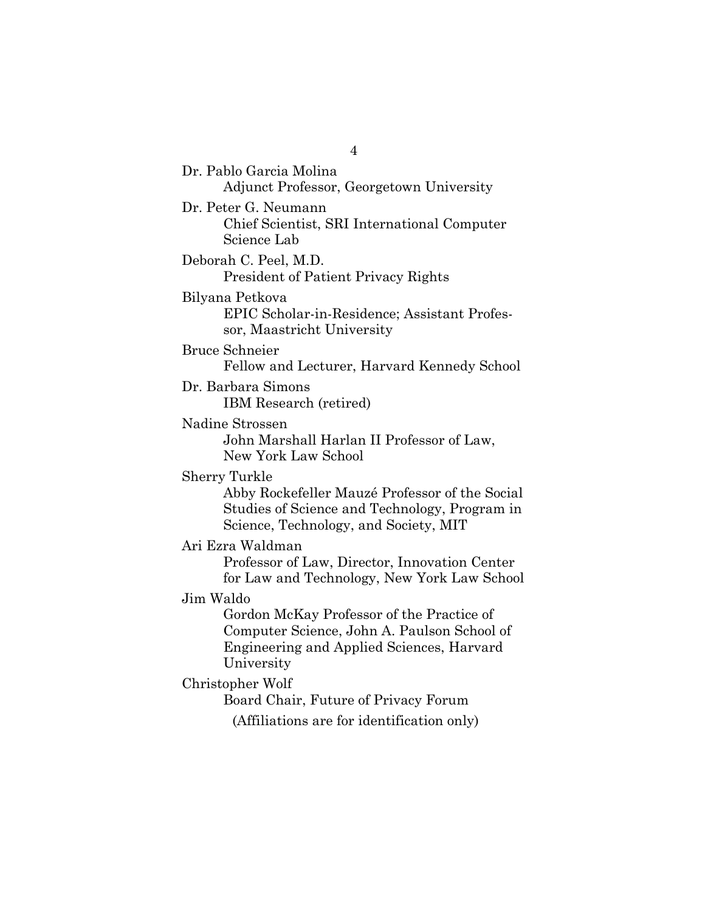Dr. Pablo Garcia Molina Adjunct Professor, Georgetown University Dr. Peter G. Neumann Chief Scientist, SRI International Computer Science Lab Deborah C. Peel, M.D. President of Patient Privacy Rights Bilyana Petkova EPIC Scholar-in-Residence; Assistant Professor, Maastricht University Bruce Schneier Fellow and Lecturer, Harvard Kennedy School Dr. Barbara Simons IBM Research (retired) Nadine Strossen John Marshall Harlan II Professor of Law, New York Law School Sherry Turkle Abby Rockefeller Mauzé Professor of the Social Studies of Science and Technology, Program in Science, Technology, and Society, MIT Ari Ezra Waldman Professor of Law, Director, Innovation Center for Law and Technology, New York Law School Jim Waldo Gordon McKay Professor of the Practice of Computer Science, John A. Paulson School of Engineering and Applied Sciences, Harvard University Christopher Wolf Board Chair, Future of Privacy Forum (Affiliations are for identification only)

4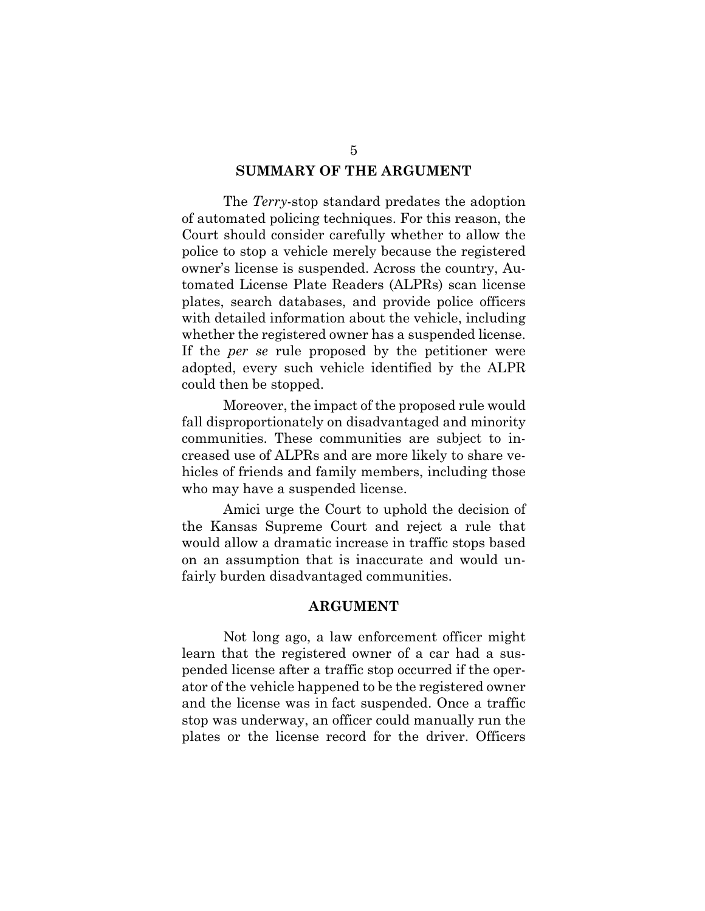#### **SUMMARY OF THE ARGUMENT**

The *Terry*-stop standard predates the adoption of automated policing techniques. For this reason, the Court should consider carefully whether to allow the police to stop a vehicle merely because the registered owner's license is suspended. Across the country, Automated License Plate Readers (ALPRs) scan license plates, search databases, and provide police officers with detailed information about the vehicle, including whether the registered owner has a suspended license. If the *per se* rule proposed by the petitioner were adopted, every such vehicle identified by the ALPR could then be stopped.

Moreover, the impact of the proposed rule would fall disproportionately on disadvantaged and minority communities. These communities are subject to increased use of ALPRs and are more likely to share vehicles of friends and family members, including those who may have a suspended license.

Amici urge the Court to uphold the decision of the Kansas Supreme Court and reject a rule that would allow a dramatic increase in traffic stops based on an assumption that is inaccurate and would unfairly burden disadvantaged communities.

#### **ARGUMENT**

Not long ago, a law enforcement officer might learn that the registered owner of a car had a suspended license after a traffic stop occurred if the operator of the vehicle happened to be the registered owner and the license was in fact suspended. Once a traffic stop was underway, an officer could manually run the plates or the license record for the driver. Officers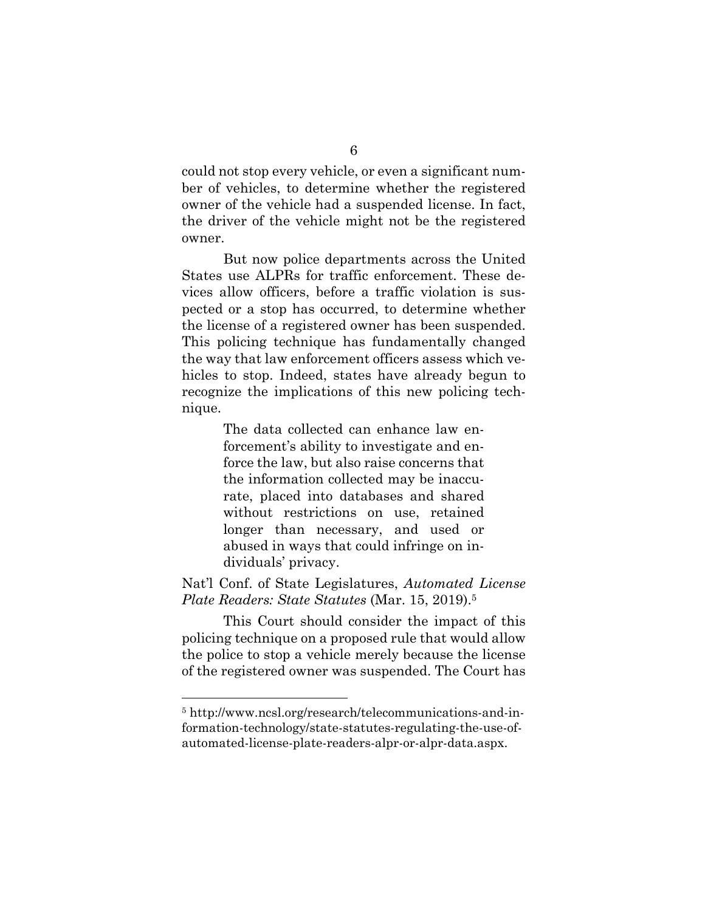could not stop every vehicle, or even a significant number of vehicles, to determine whether the registered owner of the vehicle had a suspended license. In fact, the driver of the vehicle might not be the registered owner.

But now police departments across the United States use ALPRs for traffic enforcement. These devices allow officers, before a traffic violation is suspected or a stop has occurred, to determine whether the license of a registered owner has been suspended. This policing technique has fundamentally changed the way that law enforcement officers assess which vehicles to stop. Indeed, states have already begun to recognize the implications of this new policing technique.

> The data collected can enhance law enforcement's ability to investigate and enforce the law, but also raise concerns that the information collected may be inaccurate, placed into databases and shared without restrictions on use, retained longer than necessary, and used or abused in ways that could infringe on individuals' privacy.

Nat'l Conf. of State Legislatures, *Automated License Plate Readers: State Statutes* (Mar. 15, 2019).<sup>5</sup>

This Court should consider the impact of this policing technique on a proposed rule that would allow the police to stop a vehicle merely because the license of the registered owner was suspended. The Court has

<sup>5</sup> http://www.ncsl.org/research/telecommunications-and-information-technology/state-statutes-regulating-the-use-ofautomated-license-plate-readers-alpr-or-alpr-data.aspx.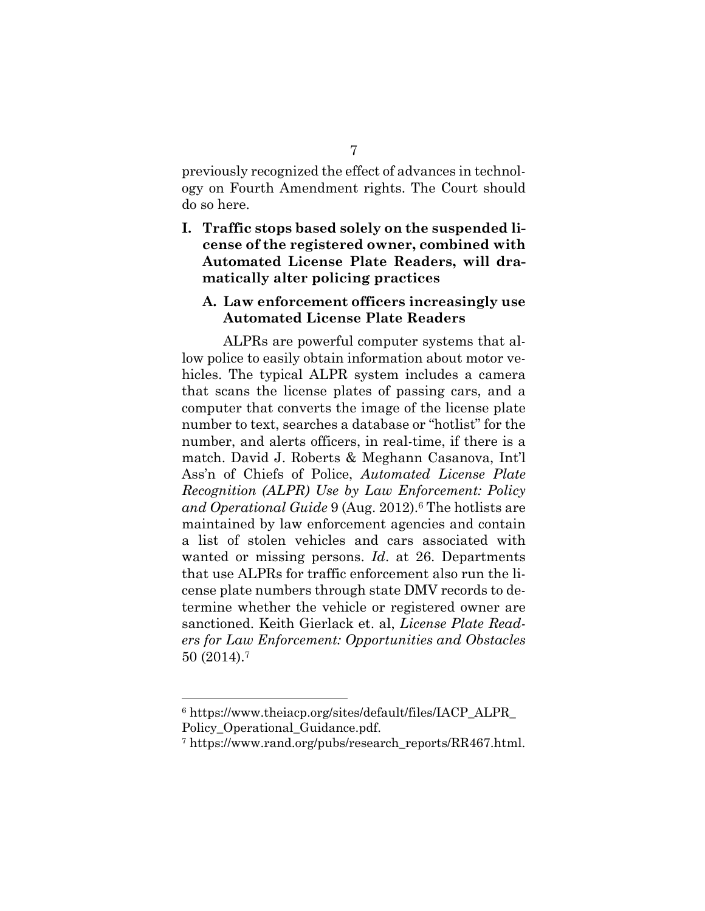previously recognized the effect of advances in technology on Fourth Amendment rights. The Court should do so here.

**I. Traffic stops based solely on the suspended license of the registered owner, combined with Automated License Plate Readers, will dramatically alter policing practices**

#### **A. Law enforcement officers increasingly use Automated License Plate Readers**

ALPRs are powerful computer systems that allow police to easily obtain information about motor vehicles. The typical ALPR system includes a camera that scans the license plates of passing cars, and a computer that converts the image of the license plate number to text, searches a database or "hotlist" for the number, and alerts officers, in real-time, if there is a match. David J. Roberts & Meghann Casanova, Int'l Ass'n of Chiefs of Police, *Automated License Plate Recognition (ALPR) Use by Law Enforcement: Policy and Operational Guide* 9 (Aug. 2012).<sup>6</sup> The hotlists are maintained by law enforcement agencies and contain a list of stolen vehicles and cars associated with wanted or missing persons. *Id*. at 26. Departments that use ALPRs for traffic enforcement also run the license plate numbers through state DMV records to determine whether the vehicle or registered owner are sanctioned. Keith Gierlack et. al, *License Plate Readers for Law Enforcement: Opportunities and Obstacles* 50 (2014).<sup>7</sup>

<sup>6</sup> https://www.theiacp.org/sites/default/files/IACP\_ALPR\_ Policy\_Operational\_Guidance.pdf.

<sup>7</sup> https://www.rand.org/pubs/research\_reports/RR467.html.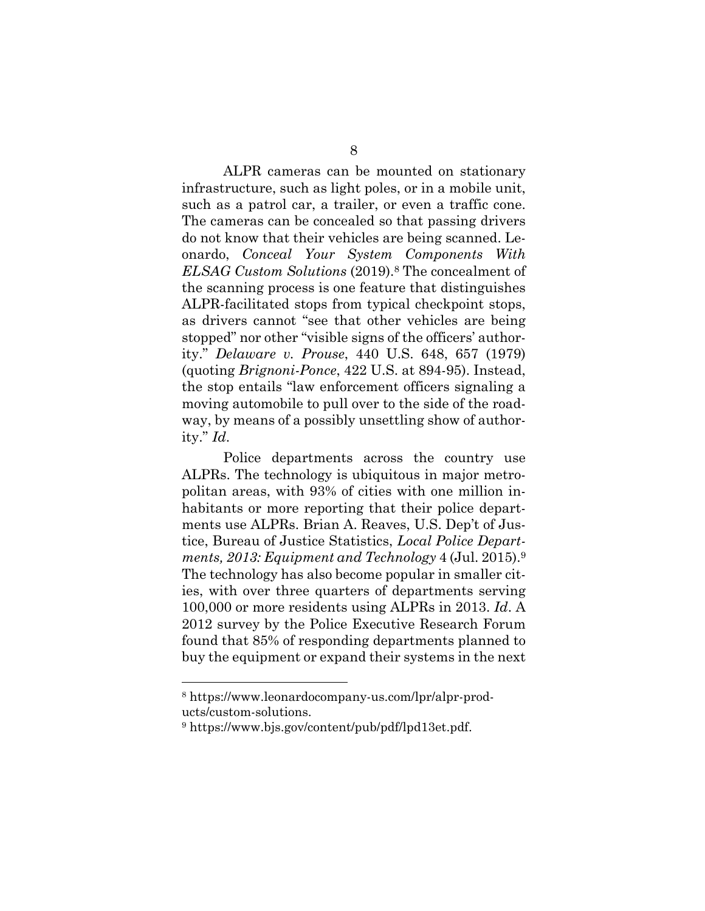ALPR cameras can be mounted on stationary infrastructure, such as light poles, or in a mobile unit, such as a patrol car, a trailer, or even a traffic cone. The cameras can be concealed so that passing drivers do not know that their vehicles are being scanned. Leonardo, *Conceal Your System Components With ELSAG Custom Solutions* (2019).<sup>8</sup> The concealment of the scanning process is one feature that distinguishes ALPR-facilitated stops from typical checkpoint stops, as drivers cannot "see that other vehicles are being stopped" nor other "visible signs of the officers' authority." *Delaware v. Prouse*, 440 U.S. 648, 657 (1979) (quoting *Brignoni-Ponce*, 422 U.S. at 894-95). Instead, the stop entails "law enforcement officers signaling a moving automobile to pull over to the side of the roadway, by means of a possibly unsettling show of authority." *Id*.

Police departments across the country use ALPRs. The technology is ubiquitous in major metropolitan areas, with 93% of cities with one million inhabitants or more reporting that their police departments use ALPRs. Brian A. Reaves, U.S. Dep't of Justice, Bureau of Justice Statistics, *Local Police Departments, 2013: Equipment and Technology* 4 (Jul. 2015).<sup>9</sup> The technology has also become popular in smaller cities, with over three quarters of departments serving 100,000 or more residents using ALPRs in 2013. *Id*. A 2012 survey by the Police Executive Research Forum found that 85% of responding departments planned to buy the equipment or expand their systems in the next

<sup>8</sup> https://www.leonardocompany-us.com/lpr/alpr-products/custom-solutions.

<sup>9</sup> https://www.bjs.gov/content/pub/pdf/lpd13et.pdf.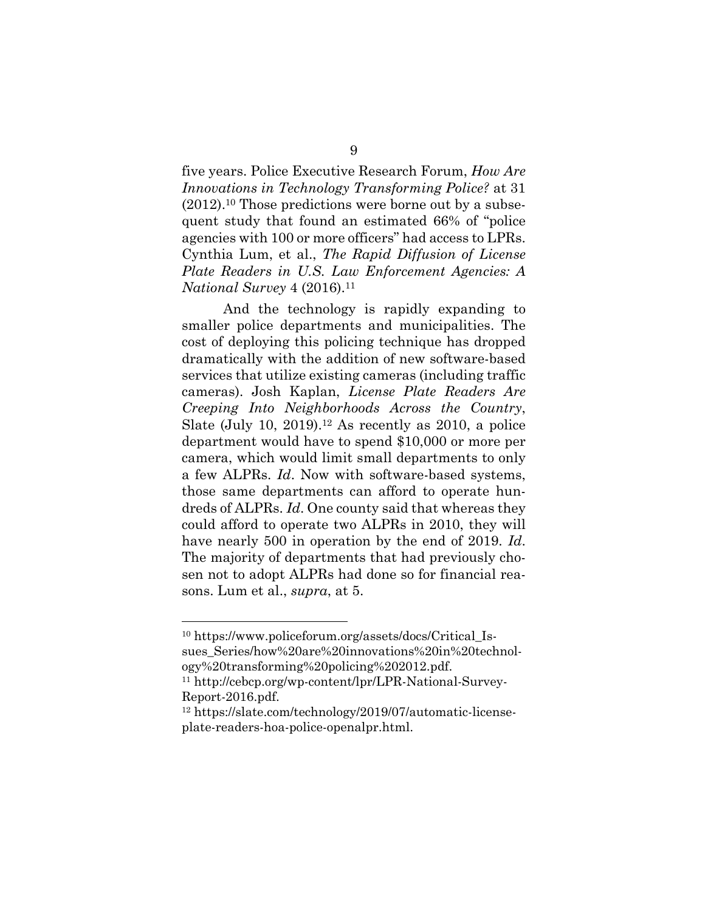five years. Police Executive Research Forum, *How Are Innovations in Technology Transforming Police?* at 31 (2012).<sup>10</sup> Those predictions were borne out by a subsequent study that found an estimated 66% of "police agencies with 100 or more officers" had access to LPRs. Cynthia Lum, et al., *The Rapid Diffusion of License Plate Readers in U.S. Law Enforcement Agencies: A National Survey* 4 (2016).<sup>11</sup>

And the technology is rapidly expanding to smaller police departments and municipalities. The cost of deploying this policing technique has dropped dramatically with the addition of new software-based services that utilize existing cameras (including traffic cameras). Josh Kaplan, *License Plate Readers Are Creeping Into Neighborhoods Across the Country*, Slate (July 10, 2019).<sup>12</sup> As recently as 2010, a police department would have to spend \$10,000 or more per camera, which would limit small departments to only a few ALPRs. *Id*. Now with software-based systems, those same departments can afford to operate hundreds of ALPRs. *Id*. One county said that whereas they could afford to operate two ALPRs in 2010, they will have nearly 500 in operation by the end of 2019. *Id*. The majority of departments that had previously chosen not to adopt ALPRs had done so for financial reasons. Lum et al., *supra*, at 5.

<sup>10</sup> https://www.policeforum.org/assets/docs/Critical\_Issues\_Series/how%20are%20innovations%20in%20technology%20transforming%20policing%202012.pdf.

<sup>11</sup> http://cebcp.org/wp-content/lpr/LPR-National-Survey-Report-2016.pdf.

<sup>12</sup> https://slate.com/technology/2019/07/automatic-licenseplate-readers-hoa-police-openalpr.html.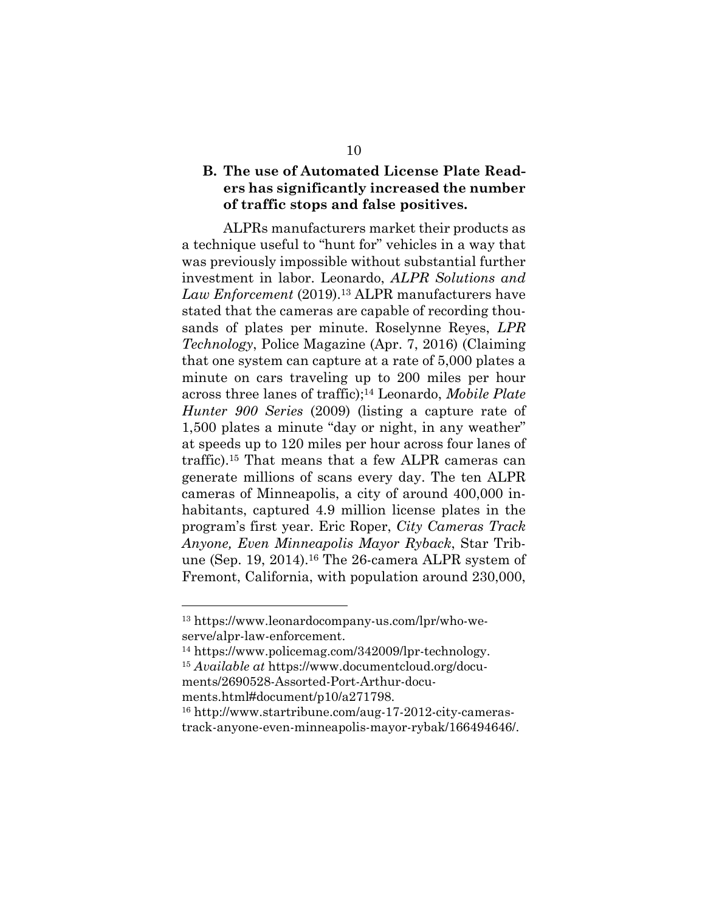## **B. The use of Automated License Plate Readers has significantly increased the number of traffic stops and false positives.**

ALPRs manufacturers market their products as a technique useful to "hunt for" vehicles in a way that was previously impossible without substantial further investment in labor. Leonardo, *ALPR Solutions and Law Enforcement* (2019).<sup>13</sup> ALPR manufacturers have stated that the cameras are capable of recording thousands of plates per minute. Roselynne Reyes, *LPR Technology*, Police Magazine (Apr. 7, 2016) (Claiming that one system can capture at a rate of 5,000 plates a minute on cars traveling up to 200 miles per hour across three lanes of traffic);<sup>14</sup> Leonardo, *Mobile Plate Hunter 900 Series* (2009) (listing a capture rate of 1,500 plates a minute "day or night, in any weather" at speeds up to 120 miles per hour across four lanes of traffic).<sup>15</sup> That means that a few ALPR cameras can generate millions of scans every day. The ten ALPR cameras of Minneapolis, a city of around 400,000 inhabitants, captured 4.9 million license plates in the program's first year. Eric Roper, *City Cameras Track Anyone, Even Minneapolis Mayor Ryback*, Star Tribune (Sep. 19, 2014).<sup>16</sup> The 26-camera ALPR system of Fremont, California, with population around 230,000,

<sup>13</sup> https://www.leonardocompany-us.com/lpr/who-weserve/alpr-law-enforcement.

<sup>14</sup> https://www.policemag.com/342009/lpr-technology.

<sup>15</sup> *Available at* https://www.documentcloud.org/documents/2690528-Assorted-Port-Arthur-documents.html#document/p10/a271798.

<sup>16</sup> http://www.startribune.com/aug-17-2012-city-camerastrack-anyone-even-minneapolis-mayor-rybak/166494646/.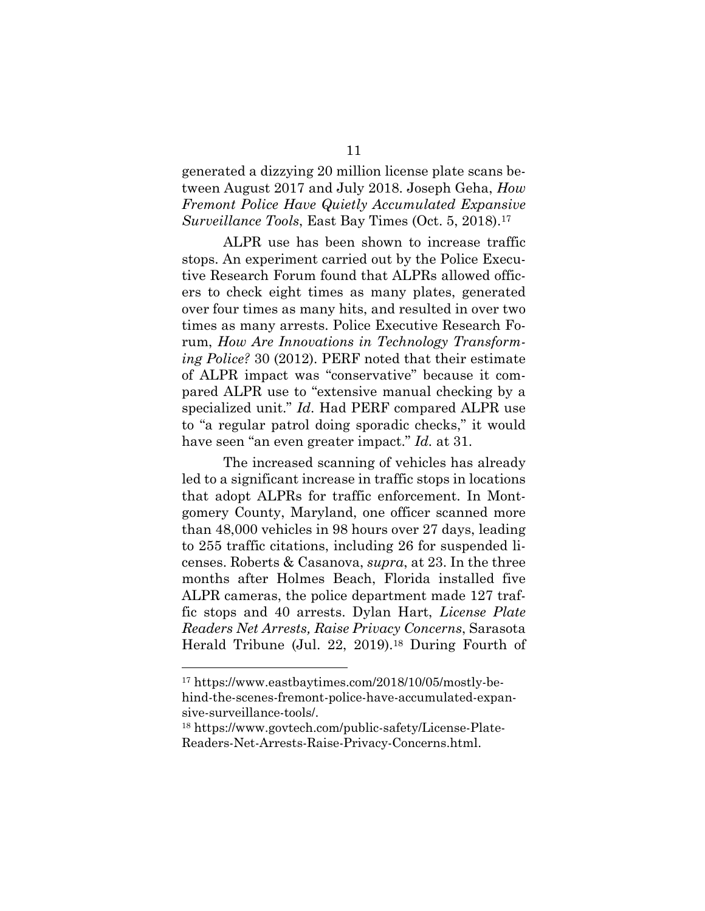generated a dizzying 20 million license plate scans between August 2017 and July 2018. Joseph Geha, *How Fremont Police Have Quietly Accumulated Expansive Surveillance Tools*, East Bay Times (Oct. 5, 2018).<sup>17</sup>

ALPR use has been shown to increase traffic stops. An experiment carried out by the Police Executive Research Forum found that ALPRs allowed officers to check eight times as many plates, generated over four times as many hits, and resulted in over two times as many arrests. Police Executive Research Forum, *How Are Innovations in Technology Transforming Police?* 30 (2012). PERF noted that their estimate of ALPR impact was "conservative" because it compared ALPR use to "extensive manual checking by a specialized unit." *Id*. Had PERF compared ALPR use to "a regular patrol doing sporadic checks," it would have seen "an even greater impact." *Id.* at 31.

The increased scanning of vehicles has already led to a significant increase in traffic stops in locations that adopt ALPRs for traffic enforcement. In Montgomery County, Maryland, one officer scanned more than 48,000 vehicles in 98 hours over 27 days, leading to 255 traffic citations, including 26 for suspended licenses. Roberts & Casanova, *supra*, at 23. In the three months after Holmes Beach, Florida installed five ALPR cameras, the police department made 127 traffic stops and 40 arrests. Dylan Hart, *License Plate Readers Net Arrests, Raise Privacy Concerns*, Sarasota Herald Tribune (Jul. 22, 2019).<sup>18</sup> During Fourth of

<sup>17</sup> https://www.eastbaytimes.com/2018/10/05/mostly-behind-the-scenes-fremont-police-have-accumulated-expansive-surveillance-tools/.

<sup>18</sup> https://www.govtech.com/public-safety/License-Plate-Readers-Net-Arrests-Raise-Privacy-Concerns.html.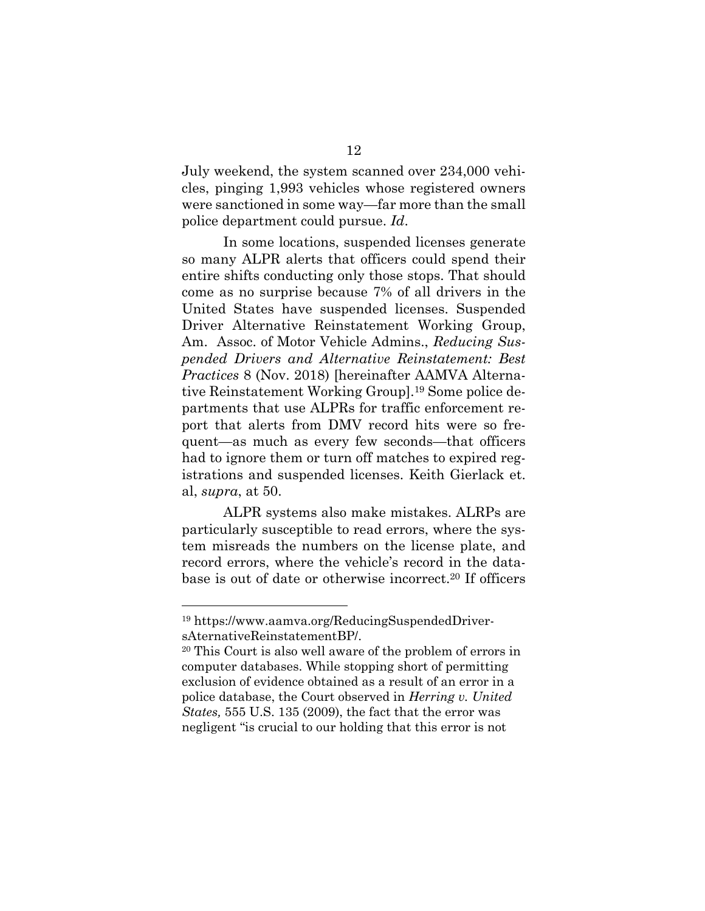July weekend, the system scanned over 234,000 vehicles, pinging 1,993 vehicles whose registered owners were sanctioned in some way—far more than the small police department could pursue. *Id*.

In some locations, suspended licenses generate so many ALPR alerts that officers could spend their entire shifts conducting only those stops. That should come as no surprise because 7% of all drivers in the United States have suspended licenses. Suspended Driver Alternative Reinstatement Working Group, Am. Assoc. of Motor Vehicle Admins., *Reducing Suspended Drivers and Alternative Reinstatement: Best Practices* 8 (Nov. 2018) [hereinafter AAMVA Alternative Reinstatement Working Group].<sup>19</sup> Some police departments that use ALPRs for traffic enforcement report that alerts from DMV record hits were so frequent—as much as every few seconds—that officers had to ignore them or turn off matches to expired registrations and suspended licenses. Keith Gierlack et. al, *supra*, at 50.

ALPR systems also make mistakes. ALRPs are particularly susceptible to read errors, where the system misreads the numbers on the license plate, and record errors, where the vehicle's record in the database is out of date or otherwise incorrect.<sup>20</sup> If officers

<sup>19</sup> https://www.aamva.org/ReducingSuspendedDriversAternativeReinstatementBP/.

<sup>20</sup> This Court is also well aware of the problem of errors in computer databases. While stopping short of permitting exclusion of evidence obtained as a result of an error in a police database, the Court observed in *Herring v. United States,* 555 U.S. 135 (2009), the fact that the error was negligent "is crucial to our holding that this error is not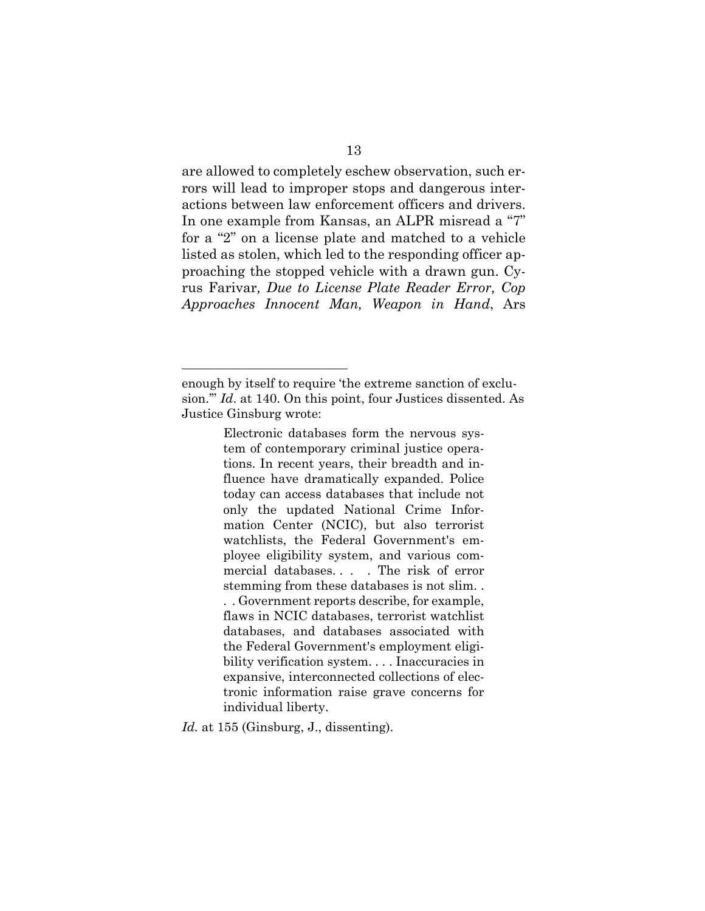are allowed to completely eschew observation, such errors will lead to improper stops and dangerous interactions between law enforcement officers and drivers. In one example from Kansas, an ALPR misread a "7" for a "2" on a license plate and matched to a vehicle listed as stolen, which led to the responding officer approaching the stopped vehicle with a drawn gun. Cyrus Farivar*, Due to License Plate Reader Error, Cop Approaches Innocent Man, Weapon in Hand*, Ars

Electronic databases form the nervous system of contemporary criminal justice operations. In recent years, their breadth and influence have dramatically expanded. Police today can access databases that include not only the updated National Crime Information Center (NCIC), but also terrorist watchlists, the Federal Government's employee eligibility system, and various commercial databases. . . . The risk of error stemming from these databases is not slim. . . . Government reports describe, for example, flaws in NCIC databases, terrorist watchlist databases, and databases associated with the Federal Government's employment eligibility verification system. . . . Inaccuracies in expansive, interconnected collections of electronic information raise grave concerns for individual liberty.

*Id.* at 155 (Ginsburg, J., dissenting).

enough by itself to require 'the extreme sanction of exclusion.'" *Id*. at 140. On this point, four Justices dissented. As Justice Ginsburg wrote: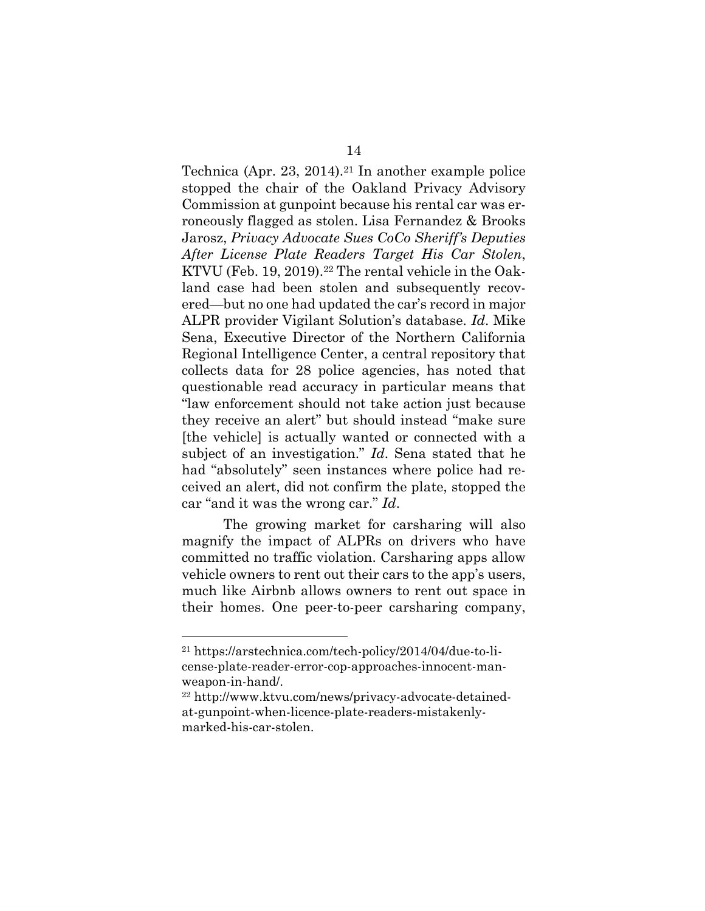Technica (Apr. 23, 2014).<sup>21</sup> In another example police stopped the chair of the Oakland Privacy Advisory Commission at gunpoint because his rental car was erroneously flagged as stolen. Lisa Fernandez & Brooks Jarosz, *Privacy Advocate Sues CoCo Sheriff's Deputies After License Plate Readers Target His Car Stolen*, KTVU (Feb. 19, 2019).<sup>22</sup> The rental vehicle in the Oakland case had been stolen and subsequently recovered—but no one had updated the car's record in major ALPR provider Vigilant Solution's database. *Id*. Mike Sena, Executive Director of the Northern California Regional Intelligence Center, a central repository that collects data for 28 police agencies, has noted that questionable read accuracy in particular means that "law enforcement should not take action just because they receive an alert" but should instead "make sure [the vehicle] is actually wanted or connected with a subject of an investigation." *Id*. Sena stated that he had "absolutely" seen instances where police had received an alert, did not confirm the plate, stopped the car "and it was the wrong car." *Id*.

The growing market for carsharing will also magnify the impact of ALPRs on drivers who have committed no traffic violation. Carsharing apps allow vehicle owners to rent out their cars to the app's users, much like Airbnb allows owners to rent out space in their homes. One peer-to-peer carsharing company,

<sup>21</sup> https://arstechnica.com/tech-policy/2014/04/due-to-license-plate-reader-error-cop-approaches-innocent-manweapon-in-hand/.

<sup>22</sup> http://www.ktvu.com/news/privacy-advocate-detainedat-gunpoint-when-licence-plate-readers-mistakenlymarked-his-car-stolen.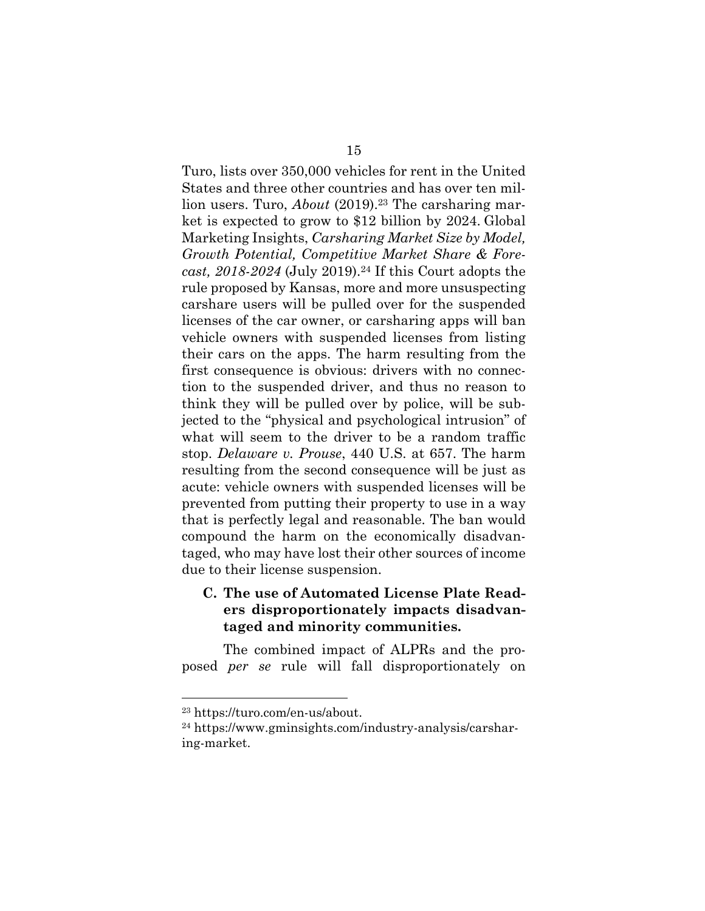Turo, lists over 350,000 vehicles for rent in the United States and three other countries and has over ten million users. Turo, *About* (2019).<sup>23</sup> The carsharing market is expected to grow to \$12 billion by 2024. Global Marketing Insights, *Carsharing Market Size by Model, Growth Potential, Competitive Market Share & Forecast, 2018-2024* (July 2019).<sup>24</sup> If this Court adopts the rule proposed by Kansas, more and more unsuspecting carshare users will be pulled over for the suspended licenses of the car owner, or carsharing apps will ban vehicle owners with suspended licenses from listing their cars on the apps. The harm resulting from the first consequence is obvious: drivers with no connection to the suspended driver, and thus no reason to think they will be pulled over by police, will be subjected to the "physical and psychological intrusion" of what will seem to the driver to be a random traffic stop. *Delaware v. Prouse*, 440 U.S. at 657. The harm resulting from the second consequence will be just as acute: vehicle owners with suspended licenses will be prevented from putting their property to use in a way that is perfectly legal and reasonable. The ban would compound the harm on the economically disadvantaged, who may have lost their other sources of income due to their license suspension.

## **C. The use of Automated License Plate Readers disproportionately impacts disadvantaged and minority communities.**

The combined impact of ALPRs and the proposed *per se* rule will fall disproportionately on

<sup>23</sup> https://turo.com/en-us/about.

<sup>24</sup> https://www.gminsights.com/industry-analysis/carsharing-market.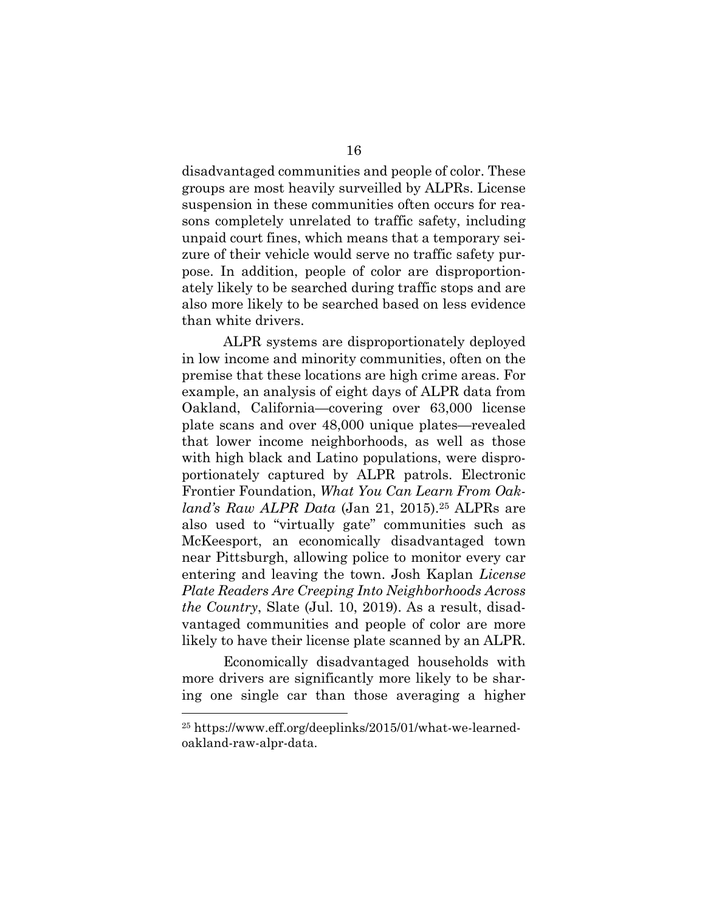disadvantaged communities and people of color. These groups are most heavily surveilled by ALPRs. License suspension in these communities often occurs for reasons completely unrelated to traffic safety, including unpaid court fines, which means that a temporary seizure of their vehicle would serve no traffic safety purpose. In addition, people of color are disproportionately likely to be searched during traffic stops and are also more likely to be searched based on less evidence than white drivers.

ALPR systems are disproportionately deployed in low income and minority communities, often on the premise that these locations are high crime areas. For example, an analysis of eight days of ALPR data from Oakland, California—covering over 63,000 license plate scans and over 48,000 unique plates—revealed that lower income neighborhoods, as well as those with high black and Latino populations, were disproportionately captured by ALPR patrols. Electronic Frontier Foundation, *What You Can Learn From Oakland's Raw ALPR Data* (Jan 21, 2015).<sup>25</sup> ALPRs are also used to "virtually gate" communities such as McKeesport, an economically disadvantaged town near Pittsburgh, allowing police to monitor every car entering and leaving the town. Josh Kaplan *License Plate Readers Are Creeping Into Neighborhoods Across the Country*, Slate (Jul. 10, 2019). As a result, disadvantaged communities and people of color are more likely to have their license plate scanned by an ALPR.

Economically disadvantaged households with more drivers are significantly more likely to be sharing one single car than those averaging a higher

<sup>25</sup> https://www.eff.org/deeplinks/2015/01/what-we-learnedoakland-raw-alpr-data.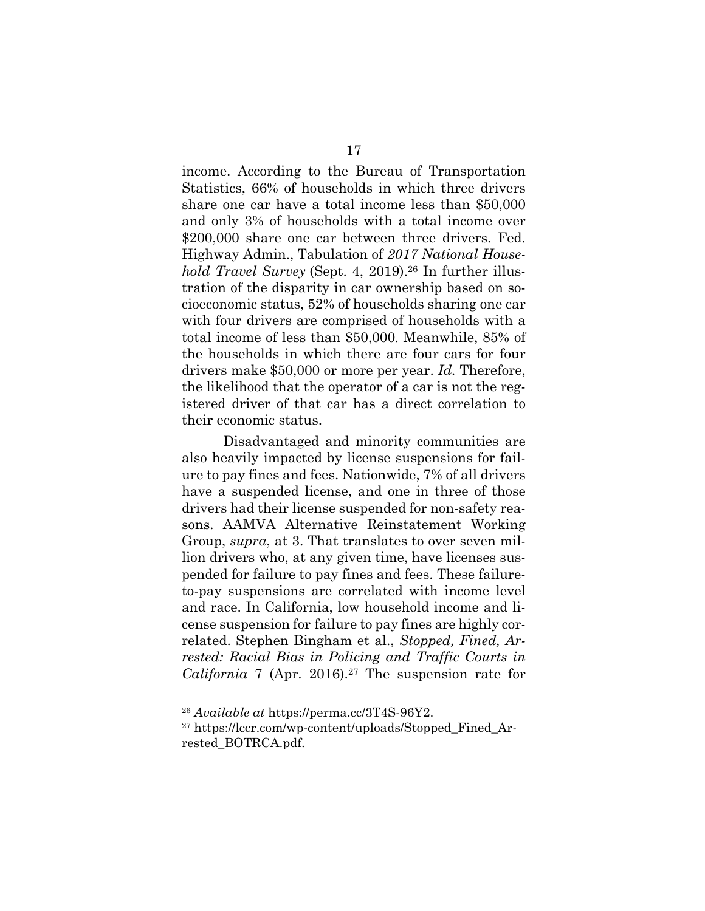income. According to the Bureau of Transportation Statistics, 66% of households in which three drivers share one car have a total income less than \$50,000 and only 3% of households with a total income over \$200,000 share one car between three drivers. Fed. Highway Admin., Tabulation of *2017 National Household Travel Survey* (Sept. 4, 2019).<sup>26</sup> In further illustration of the disparity in car ownership based on socioeconomic status, 52% of households sharing one car with four drivers are comprised of households with a total income of less than \$50,000. Meanwhile, 85% of the households in which there are four cars for four drivers make \$50,000 or more per year. *Id.* Therefore, the likelihood that the operator of a car is not the registered driver of that car has a direct correlation to their economic status.

Disadvantaged and minority communities are also heavily impacted by license suspensions for failure to pay fines and fees. Nationwide, 7% of all drivers have a suspended license, and one in three of those drivers had their license suspended for non-safety reasons. AAMVA Alternative Reinstatement Working Group, *supra*, at 3. That translates to over seven million drivers who, at any given time, have licenses suspended for failure to pay fines and fees. These failureto-pay suspensions are correlated with income level and race. In California, low household income and license suspension for failure to pay fines are highly correlated. Stephen Bingham et al., *Stopped, Fined, Arrested: Racial Bias in Policing and Traffic Courts in California* 7 (Apr. 2016).27 The suspension rate for

<sup>26</sup> *Available at* https://perma.cc/3T4S-96Y2.

<sup>27</sup> https://lccr.com/wp-content/uploads/Stopped\_Fined\_Arrested\_BOTRCA.pdf.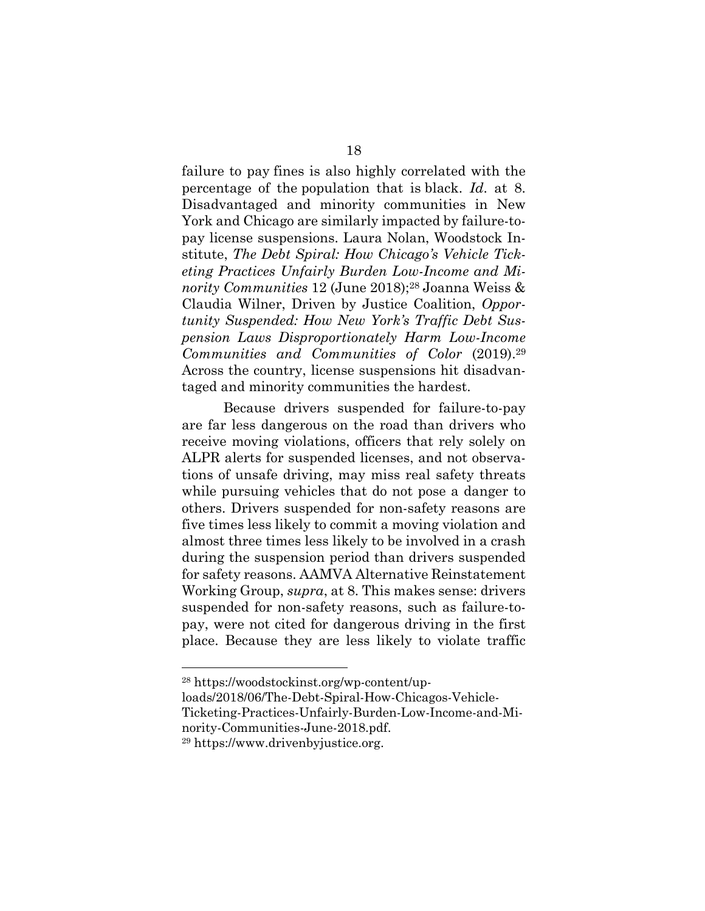failure to pay fines is also highly correlated with the percentage of the population that is black. *Id*. at 8. Disadvantaged and minority communities in New York and Chicago are similarly impacted by failure-topay license suspensions. Laura Nolan, Woodstock Institute, *The Debt Spiral: How Chicago's Vehicle Ticketing Practices Unfairly Burden Low-Income and Minority Communities* 12 (June 2018);<sup>28</sup> Joanna Weiss & Claudia Wilner, Driven by Justice Coalition, *Opportunity Suspended: How New York's Traffic Debt Suspension Laws Disproportionately Harm Low-Income Communities and Communities of Color* (2019).<sup>29</sup> Across the country, license suspensions hit disadvantaged and minority communities the hardest.

Because drivers suspended for failure-to-pay are far less dangerous on the road than drivers who receive moving violations, officers that rely solely on ALPR alerts for suspended licenses, and not observations of unsafe driving, may miss real safety threats while pursuing vehicles that do not pose a danger to others. Drivers suspended for non-safety reasons are five times less likely to commit a moving violation and almost three times less likely to be involved in a crash during the suspension period than drivers suspended for safety reasons. AAMVA Alternative Reinstatement Working Group, *supra*, at 8. This makes sense: drivers suspended for non-safety reasons, such as failure-topay, were not cited for dangerous driving in the first place. Because they are less likely to violate traffic

nority-Communities-June-2018.pdf.

<sup>28</sup> https://woodstockinst.org/wp-content/up-

loads/2018/06/The-Debt-Spiral-How-Chicagos-Vehicle-Ticketing-Practices-Unfairly-Burden-Low-Income-and-Mi-

<sup>29</sup> https://www.drivenbyjustice.org.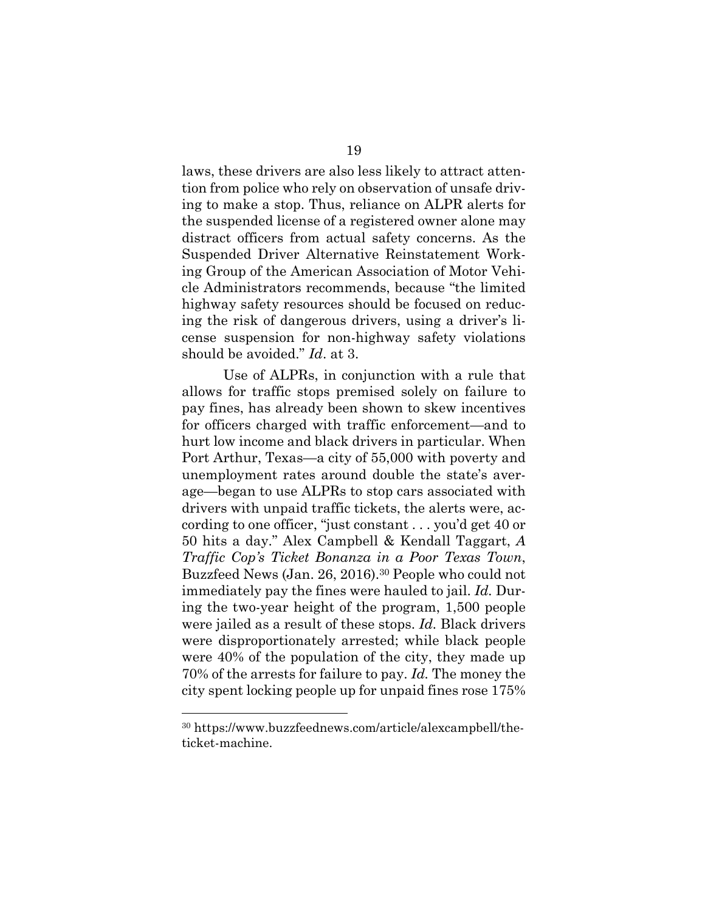laws, these drivers are also less likely to attract attention from police who rely on observation of unsafe driving to make a stop. Thus, reliance on ALPR alerts for the suspended license of a registered owner alone may distract officers from actual safety concerns. As the Suspended Driver Alternative Reinstatement Working Group of the American Association of Motor Vehicle Administrators recommends, because "the limited highway safety resources should be focused on reducing the risk of dangerous drivers, using a driver's license suspension for non-highway safety violations should be avoided." *Id*. at 3.

Use of ALPRs, in conjunction with a rule that allows for traffic stops premised solely on failure to pay fines, has already been shown to skew incentives for officers charged with traffic enforcement—and to hurt low income and black drivers in particular. When Port Arthur, Texas—a city of 55,000 with poverty and unemployment rates around double the state's average—began to use ALPRs to stop cars associated with drivers with unpaid traffic tickets, the alerts were, according to one officer, "just constant . . . you'd get 40 or 50 hits a day." Alex Campbell & Kendall Taggart, *A Traffic Cop's Ticket Bonanza in a Poor Texas Town*, Buzzfeed News (Jan. 26, 2016).<sup>30</sup> People who could not immediately pay the fines were hauled to jail. *Id.* During the two-year height of the program, 1,500 people were jailed as a result of these stops. *Id.* Black drivers were disproportionately arrested; while black people were 40% of the population of the city, they made up 70% of the arrests for failure to pay. *Id.* The money the city spent locking people up for unpaid fines rose 175%

<sup>30</sup> https://www.buzzfeednews.com/article/alexcampbell/theticket-machine.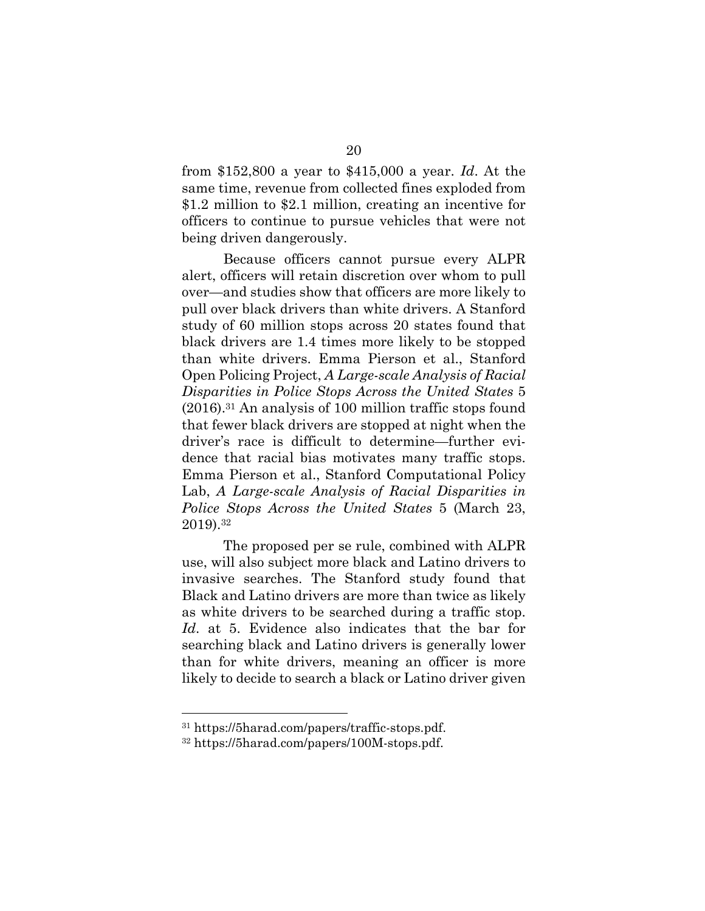from \$152,800 a year to \$415,000 a year. *Id*. At the same time, revenue from collected fines exploded from \$1.2 million to \$2.1 million, creating an incentive for officers to continue to pursue vehicles that were not being driven dangerously.

Because officers cannot pursue every ALPR alert, officers will retain discretion over whom to pull over—and studies show that officers are more likely to pull over black drivers than white drivers. A Stanford study of 60 million stops across 20 states found that black drivers are 1.4 times more likely to be stopped than white drivers. Emma Pierson et al., Stanford Open Policing Project, *A Large-scale Analysis of Racial Disparities in Police Stops Across the United States* 5 (2016).31 An analysis of 100 million traffic stops found that fewer black drivers are stopped at night when the driver's race is difficult to determine—further evidence that racial bias motivates many traffic stops. Emma Pierson et al., Stanford Computational Policy Lab, *A Large-scale Analysis of Racial Disparities in Police Stops Across the United States* 5 (March 23, 2019).32

The proposed per se rule, combined with ALPR use, will also subject more black and Latino drivers to invasive searches. The Stanford study found that Black and Latino drivers are more than twice as likely as white drivers to be searched during a traffic stop. *Id*. at 5. Evidence also indicates that the bar for searching black and Latino drivers is generally lower than for white drivers, meaning an officer is more likely to decide to search a black or Latino driver given

<sup>31</sup> https://5harad.com/papers/traffic-stops.pdf.

<sup>32</sup> https://5harad.com/papers/100M-stops.pdf.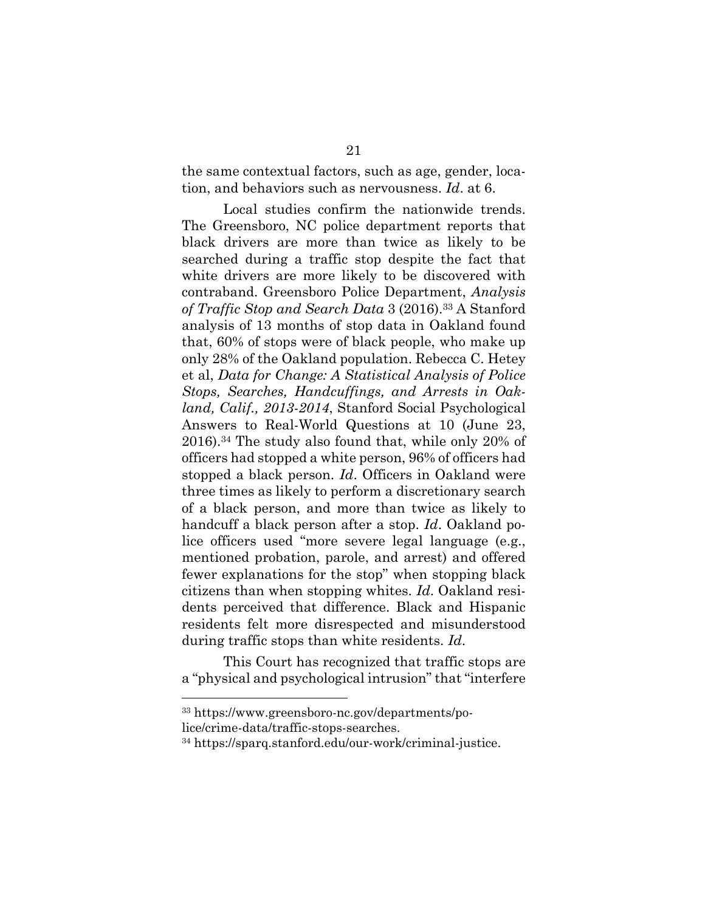the same contextual factors, such as age, gender, location, and behaviors such as nervousness. *Id*. at 6.

Local studies confirm the nationwide trends. The Greensboro, NC police department reports that black drivers are more than twice as likely to be searched during a traffic stop despite the fact that white drivers are more likely to be discovered with contraband. Greensboro Police Department, *Analysis of Traffic Stop and Search Data* 3 (2016).33 A Stanford analysis of 13 months of stop data in Oakland found that, 60% of stops were of black people, who make up only 28% of the Oakland population. Rebecca C. Hetey et al, *Data for Change: A Statistical Analysis of Police Stops, Searches, Handcuffings, and Arrests in Oakland, Calif., 2013-2014*, Stanford Social Psychological Answers to Real-World Questions at 10 (June 23, 2016).34 The study also found that, while only 20% of officers had stopped a white person, 96% of officers had stopped a black person. *Id*. Officers in Oakland were three times as likely to perform a discretionary search of a black person, and more than twice as likely to handcuff a black person after a stop. *Id*. Oakland police officers used "more severe legal language (e.g., mentioned probation, parole, and arrest) and offered fewer explanations for the stop" when stopping black citizens than when stopping whites. *Id*. Oakland residents perceived that difference. Black and Hispanic residents felt more disrespected and misunderstood during traffic stops than white residents. *Id*.

This Court has recognized that traffic stops are a "physical and psychological intrusion" that "interfere

<sup>33</sup> https://www.greensboro-nc.gov/departments/po-

lice/crime-data/traffic-stops-searches.

<sup>34</sup> https://sparq.stanford.edu/our-work/criminal-justice.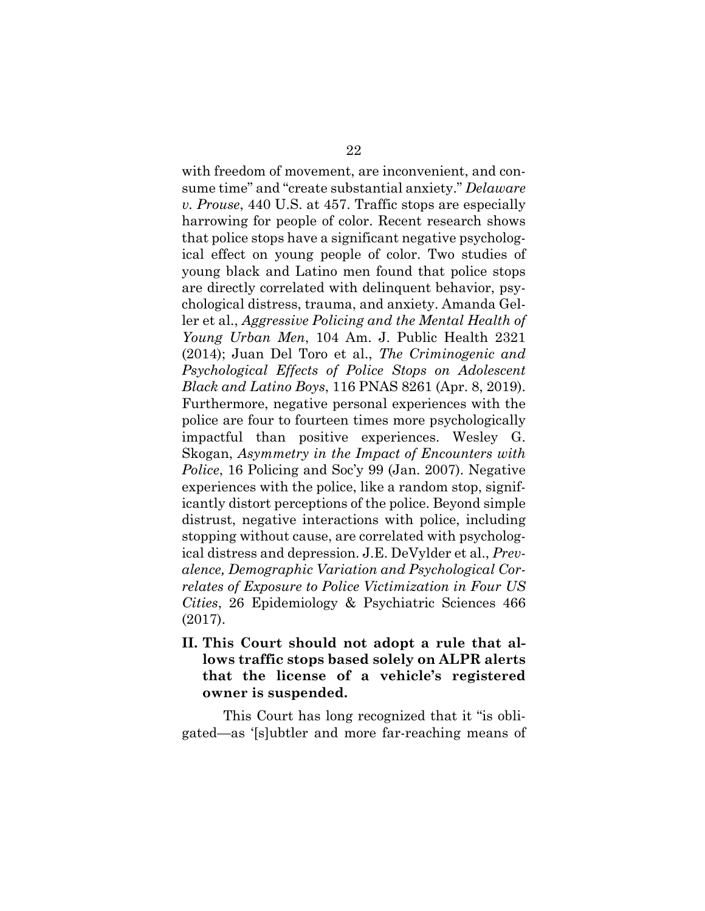with freedom of movement, are inconvenient, and consume time" and "create substantial anxiety." *Delaware v. Prouse*, 440 U.S. at 457. Traffic stops are especially harrowing for people of color. Recent research shows that police stops have a significant negative psychological effect on young people of color. Two studies of young black and Latino men found that police stops are directly correlated with delinquent behavior, psychological distress, trauma, and anxiety. Amanda Geller et al., *Aggressive Policing and the Mental Health of Young Urban Men*, 104 Am. J. Public Health 2321 (2014); Juan Del Toro et al., *The Criminogenic and Psychological Effects of Police Stops on Adolescent Black and Latino Boys*, 116 PNAS 8261 (Apr. 8, 2019). Furthermore, negative personal experiences with the police are four to fourteen times more psychologically impactful than positive experiences. Wesley G. Skogan, *Asymmetry in the Impact of Encounters with Police*, 16 Policing and Soc'y 99 (Jan. 2007). Negative experiences with the police, like a random stop, significantly distort perceptions of the police. Beyond simple distrust, negative interactions with police, including stopping without cause, are correlated with psychological distress and depression. J.E. DeVylder et al., *Prevalence, Demographic Variation and Psychological Correlates of Exposure to Police Victimization in Four US Cities*, 26 Epidemiology & Psychiatric Sciences 466 (2017).

**II. This Court should not adopt a rule that allows traffic stops based solely on ALPR alerts that the license of a vehicle's registered owner is suspended.**

This Court has long recognized that it "is obligated—as '[s]ubtler and more far-reaching means of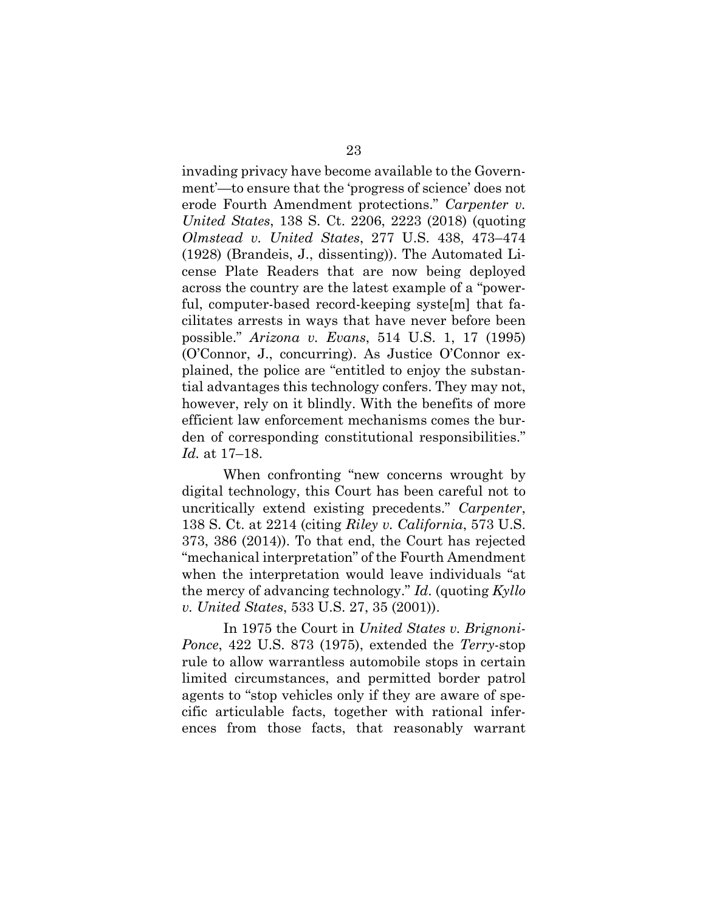invading privacy have become available to the Government'—to ensure that the 'progress of science' does not erode Fourth Amendment protections." *Carpenter v. United States*, 138 S. Ct. 2206, 2223 (2018) (quoting *Olmstead v. United States*, 277 U.S. 438, 473–474 (1928) (Brandeis, J., dissenting)). The Automated License Plate Readers that are now being deployed across the country are the latest example of a "powerful, computer-based record-keeping syste[m] that facilitates arrests in ways that have never before been possible." *Arizona v. Evans*, 514 U.S. 1, 17 (1995) (O'Connor, J., concurring). As Justice O'Connor explained, the police are "entitled to enjoy the substantial advantages this technology confers. They may not, however, rely on it blindly. With the benefits of more efficient law enforcement mechanisms comes the burden of corresponding constitutional responsibilities." *Id.* at 17–18.

When confronting "new concerns wrought by digital technology, this Court has been careful not to uncritically extend existing precedents." *Carpenter*, 138 S. Ct. at 2214 (citing *Riley v. California*, 573 U.S. 373, 386 (2014)). To that end, the Court has rejected "mechanical interpretation" of the Fourth Amendment when the interpretation would leave individuals "at the mercy of advancing technology." *Id*. (quoting *Kyllo v. United States*, 533 U.S. 27, 35 (2001)).

In 1975 the Court in *United States v. Brignoni-Ponce*, 422 U.S. 873 (1975), extended the *Terry*-stop rule to allow warrantless automobile stops in certain limited circumstances, and permitted border patrol agents to "stop vehicles only if they are aware of specific articulable facts, together with rational inferences from those facts, that reasonably warrant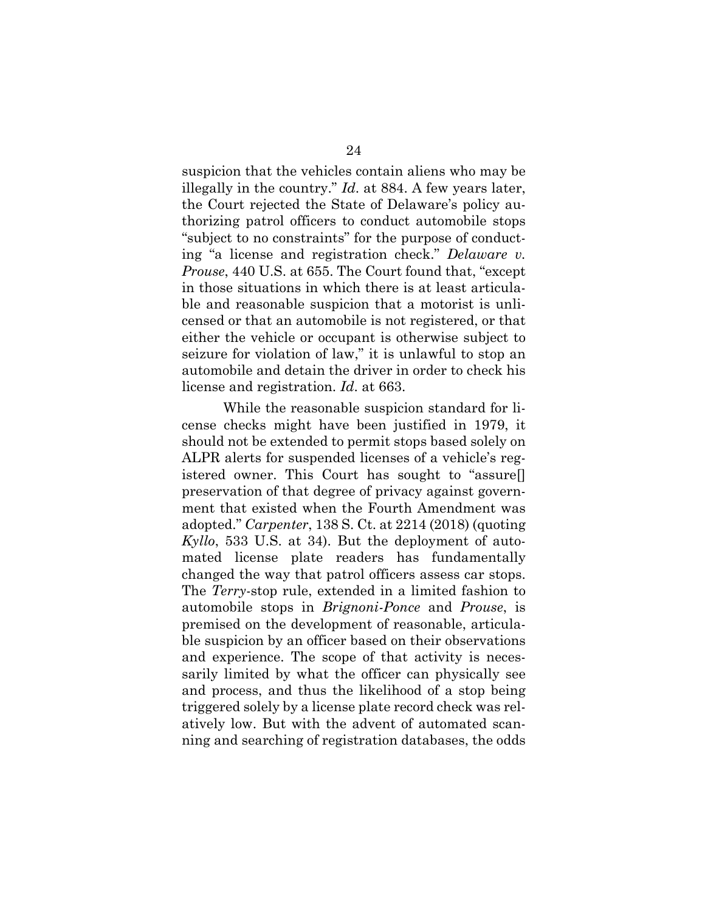suspicion that the vehicles contain aliens who may be illegally in the country." *Id*. at 884. A few years later, the Court rejected the State of Delaware's policy authorizing patrol officers to conduct automobile stops "subject to no constraints" for the purpose of conducting "a license and registration check." *Delaware v. Prouse*, 440 U.S. at 655. The Court found that, "except in those situations in which there is at least articulable and reasonable suspicion that a motorist is unlicensed or that an automobile is not registered, or that either the vehicle or occupant is otherwise subject to seizure for violation of law," it is unlawful to stop an automobile and detain the driver in order to check his license and registration. *Id*. at 663.

While the reasonable suspicion standard for license checks might have been justified in 1979, it should not be extended to permit stops based solely on ALPR alerts for suspended licenses of a vehicle's registered owner. This Court has sought to "assure[] preservation of that degree of privacy against government that existed when the Fourth Amendment was adopted." *Carpenter*, 138 S. Ct. at 2214 (2018) (quoting *Kyllo*, 533 U.S. at 34). But the deployment of automated license plate readers has fundamentally changed the way that patrol officers assess car stops. The *Terry*-stop rule, extended in a limited fashion to automobile stops in *Brignoni-Ponce* and *Prouse*, is premised on the development of reasonable, articulable suspicion by an officer based on their observations and experience. The scope of that activity is necessarily limited by what the officer can physically see and process, and thus the likelihood of a stop being triggered solely by a license plate record check was relatively low. But with the advent of automated scanning and searching of registration databases, the odds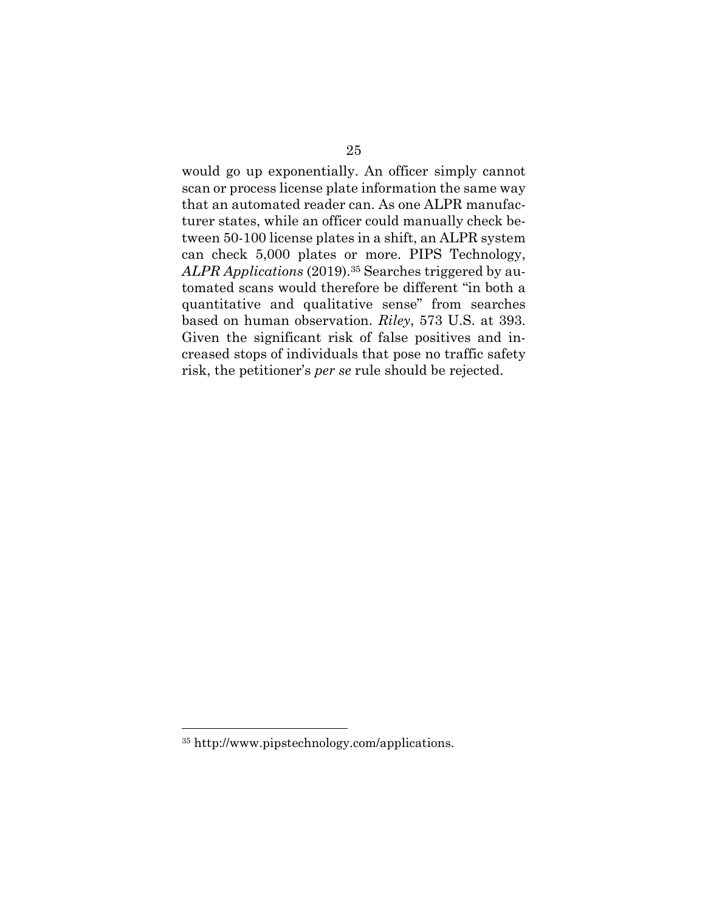would go up exponentially. An officer simply cannot scan or process license plate information the same way that an automated reader can. As one ALPR manufacturer states, while an officer could manually check between 50-100 license plates in a shift, an ALPR system can check 5,000 plates or more. PIPS Technology, *ALPR Applications* (2019).<sup>35</sup> Searches triggered by automated scans would therefore be different "in both a quantitative and qualitative sense" from searches based on human observation. *Riley*, 573 U.S. at 393. Given the significant risk of false positives and increased stops of individuals that pose no traffic safety risk, the petitioner's *per se* rule should be rejected.

<sup>35</sup> http://www.pipstechnology.com/applications.